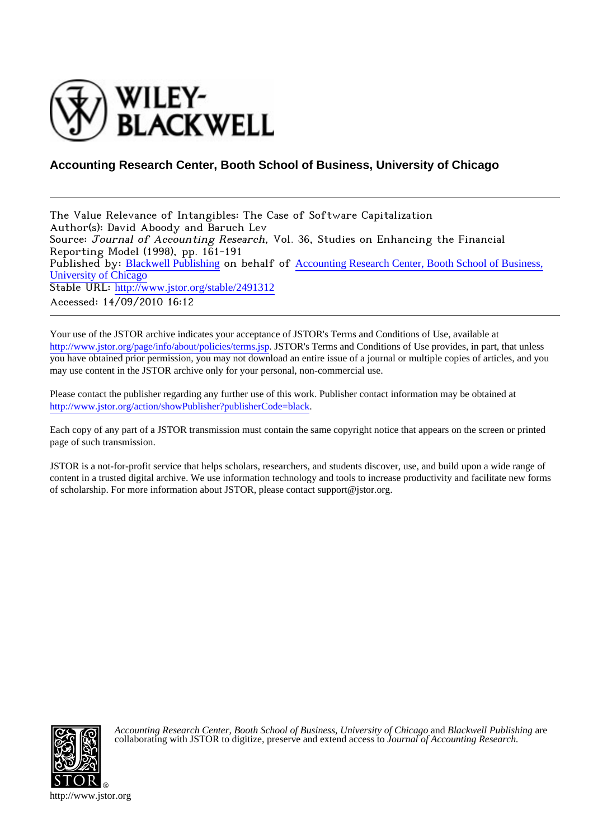

## **Accounting Research Center, Booth School of Business, University of Chicago**

The Value Relevance of Intangibles: The Case of Software Capitalization Author(s): David Aboody and Baruch Lev Source: Journal of Accounting Research, Vol. 36, Studies on Enhancing the Financial Reporting Model (1998), pp. 161-191 Published by: [Blackwell Publishing](http://www.jstor.org/action/showPublisher?publisherCode=black) on behalf of [Accounting Research Center, Booth School of Business,](http://www.jstor.org/action/showPublisher?publisherCode=grad-uchicago) [University of Chicago](http://www.jstor.org/action/showPublisher?publisherCode=grad-uchicago) Stable URL: [http://www.jstor.org/stable/2491312](http://www.jstor.org/stable/2491312?origin=JSTOR-pdf) Accessed: 14/09/2010 16:12

Your use of the JSTOR archive indicates your acceptance of JSTOR's Terms and Conditions of Use, available at <http://www.jstor.org/page/info/about/policies/terms.jsp>. JSTOR's Terms and Conditions of Use provides, in part, that unless you have obtained prior permission, you may not download an entire issue of a journal or multiple copies of articles, and you may use content in the JSTOR archive only for your personal, non-commercial use.

Please contact the publisher regarding any further use of this work. Publisher contact information may be obtained at [http://www.jstor.org/action/showPublisher?publisherCode=black.](http://www.jstor.org/action/showPublisher?publisherCode=black)

Each copy of any part of a JSTOR transmission must contain the same copyright notice that appears on the screen or printed page of such transmission.

JSTOR is a not-for-profit service that helps scholars, researchers, and students discover, use, and build upon a wide range of content in a trusted digital archive. We use information technology and tools to increase productivity and facilitate new forms of scholarship. For more information about JSTOR, please contact support@jstor.org.



*Accounting Research Center, Booth School of Business, University of Chicago* and *Blackwell Publishing* are collaborating with JSTOR to digitize, preserve and extend access to *Journal of Accounting Research.*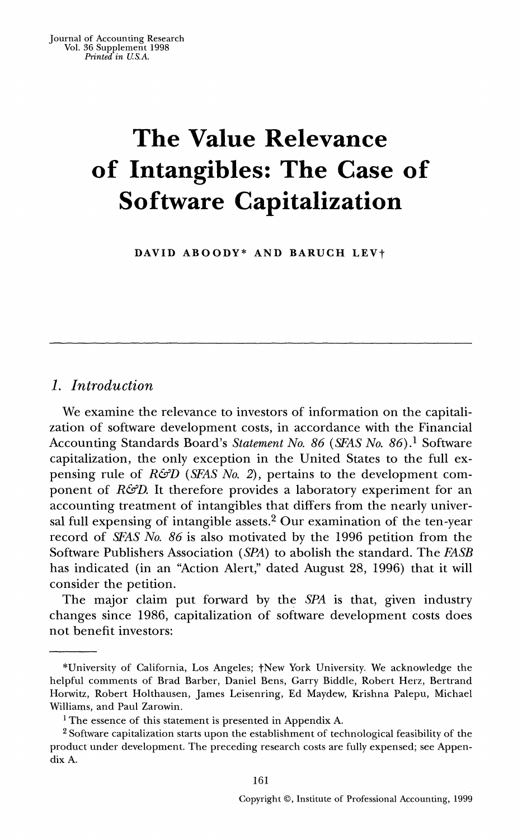# **The Value Relevance of Intangibles: The Case of Software Capitalization**

DAVID ABOODY\* AND BARUCH LEV<sup>+</sup>

### **1. Introduction**

**We examine the relevance to investors of information on the capitalization of software development costs, in accordance with the Financial Accounting Standards Board's Statement No. 86 (SFAS No. 86).1 Software capitalization, the only exception in the United States to the full ex**pensing rule of *R&D* (*SFAS No. 2*), pertains to the development com**ponent of R&D. It therefore provides a laboratory experiment for an accounting treatment of intangibles that differs from the nearly universal full expensing of intangible assets.2 Our examination of the ten-year record of SFAS No. 86 is also motivated by the 1996 petition from the Software Publishers Association (SPA) to abolish the standard. The FASB has indicated (in an "Action Alert," dated August 28, 1996) that it will consider the petition.** 

**The major claim put forward by the SPA is that, given industry changes since 1986, capitalization of software development costs does not benefit investors:** 

**161** 

**<sup>\*</sup>University of California, Los Angeles; tNew York University. We acknowledge the helpful comments of Brad Barber, Daniel Bens, Garry Biddle, Robert Herz, Bertrand Horwitz, Robert Holthausen, James Leisenring, Ed Maydew, Krishna Palepu, Michael Williams, and Paul Zarowin.** 

**<sup>1</sup> The essence of this statement is presented in Appendix A.** 

**<sup>2</sup>Software capitalization starts upon the establishment of technological feasibility of the product under development. The preceding research costs are fully expensed; see Appendix A.**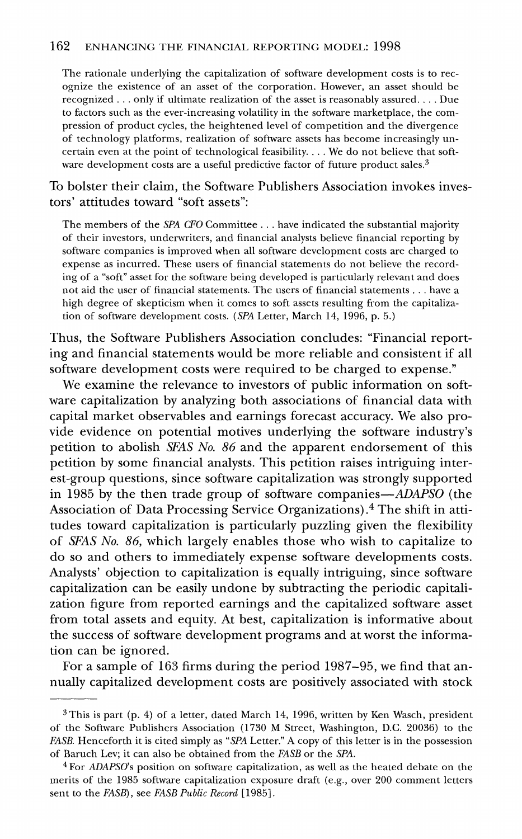**The rationale underlying the capitalization of software development costs is to recognize the existence of an asset of the corporation. However, an asset should be recognized ... only if ultimate realization of the asset is reasonably assured.... Due to factors such as the ever-increasing volatility in the software marketplace, the compression of product cycles, the heightened level of competition and the divergence of technology platforms, realization of software assets has become increasingly uncertain even at the point of technological feasibility.... We do not believe that software development costs are a useful predictive factor of future product sales.3** 

**To bolster their claim, the Software Publishers Association invokes investors' attitudes toward "soft assets":** 

**The members of the SPA CFO Committee ... have indicated the substantial majority of their investors, underwriters, and financial analysts believe financial reporting by software companies is improved when all software development costs are charged to expense as incurred. These users of financial statements do not believe the recording of a "soft" asset for the software being developed is particularly relevant and does not aid the user of financial statements. The users of financial statements . . . have a high degree of skepticism when it comes to soft assets resulting from the capitalization of software development costs. (SPA Letter, March 14, 1996, p. 5.)** 

**Thus, the Software Publishers Association concludes: "Financial reporting and financial statements would be more reliable and consistent if all software development costs were required to be charged to expense."** 

**We examine the relevance to investors of public information on software capitalization by analyzing both associations of financial data with capital market observables and earnings forecast accuracy. We also provide evidence on potential motives underlying the software industry's petition to abolish SFAS No. 86 and the apparent endorsement of this petition by some financial analysts. This petition raises intriguing interest-group questions, since software capitalization was strongly supported in 1985 by the then trade group of software companies-ADAPSO (the Association of Data Processing Service Organizations).4 The shift in attitudes toward capitalization is particularly puzzling given the flexibility of SFAS No. 86, which largely enables those who wish to capitalize to do so and others to immediately expense software developments costs. Analysts' objection to capitalization is equally intriguing, since software capitalization can be easily undone by subtracting the periodic capitalization figure from reported earnings and the capitalized software asset from total assets and equity. At best, capitalization is informative about the success of software development programs and at worst the information can be ignored.** 

**For a sample of 163 firms during the period 1987-95, we find that annually capitalized development costs are positively associated with stock** 

**<sup>3</sup> This is part (p. 4) of a letter, dated March 14, 1996, written by Ken Wasch, president of the Software Publishers Association (1730 M Street, Washington, D.C. 20036) to the FASB. Henceforth it is cited simply as "SPA Letter." A copy of this letter is in the possession of Baruch Lev; it can also be obtained from the FASB or the SPA.** 

**<sup>4</sup>For ADAPSO's position on software capitalization, as well as the heated debate on the merits of the 1985 software capitalization exposure draft (e.g., over 200 comment letters sent to the FASB), see FASB Public Record [1985].**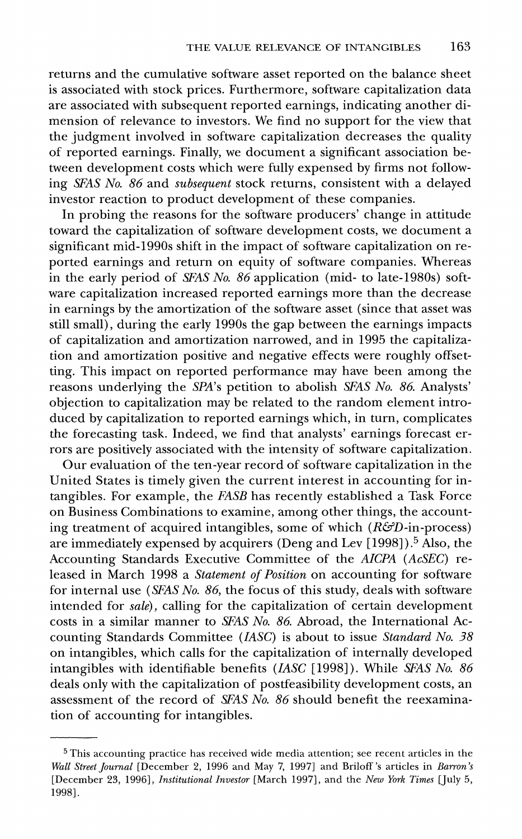**returns and the cumulative software asset reported on the balance sheet is associated with stock prices. Furthermore, software capitalization data are associated with subsequent reported earnings, indicating another dimension of relevance to investors. We find no support for the view that the judgment involved in software capitalization decreases the quality of reported earnings. Finally, we document a significant association between development costs which were fully expensed by firms not following SFAS No. 86 and subsequent stock returns, consistent with a delayed investor reaction to product development of these companies.** 

**In probing the reasons for the software producers' change in attitude toward the capitalization of software development costs, we document a significant mid-1990s shift in the impact of software capitalization on reported earnings and return on equity of software companies. Whereas in the early period of SFAS No. 86 application (mid- to late-1980s) software capitalization increased reported earnings more than the decrease in earnings by the amortization of the software asset (since that asset was still small), during the early 1990s the gap between the earnings impacts of capitalization and amortization narrowed, and in 1995 the capitalization and amortization positive and negative effects were roughly offsetting. This impact on reported performance may have been among the reasons underlying the SPA's petition to abolish SFAS No. 86 Analysts' objection to capitalization may be related to the random element introduced by capitalization to reported earnings which, in turn, complicates the forecasting task. Indeed, we find that analysts' earnings forecast errors are positively associated with the intensity of software capitalization.** 

**Our evaluation of the ten-year record of software capitalization in the United States is timely given the current interest in accounting for intangibles. For example, the FASB has recently established a Task Force on Business Combinations to examine, among other things, the accounting treatment of acquired intangibles, some of which (R&D-in-process) are immediately expensed by acquirers (Deng and Lev [1998] ).5 Also, the Accounting Standards Executive Committee of the AICPA (AcSEC) released in March 1998 a Statement of Position on accounting for software for internal use (SEAS No. 86, the focus of this study, deals with software intended for sale), calling for the capitalization of certain development costs in a similar manner to SFAS No. 86 Abroad, the International Accounting Standards Committee (IASC) is about to issue Standard No. 38 on intangibles, which calls for the capitalization of internally developed intangibles with identifiable benefits (IASC [1998]). While SFAS No. 86 deals only with the capitalization of postfeasibility development costs, an assessment of the record of SFAS No. 86 should benefit the reexamination of accounting for intangibles.** 

**<sup>5</sup> This accounting practice has received wide media attention; see recent articles in the Wall Street Journal [December 2, 1996 and May 7, 1997] and Briloff 's articles in Barron's [December 23, 1996], Institutional Investor [March 1997], and the New York Times [July 5, 1998].**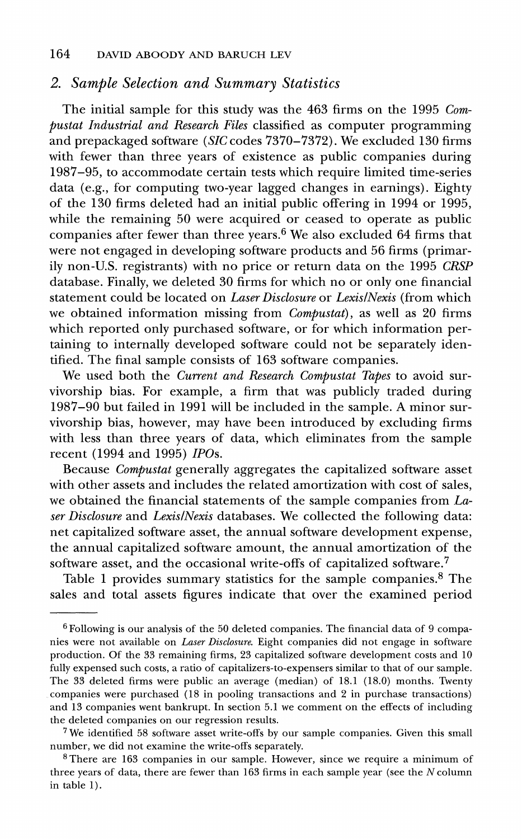### **2. Sample Selection and Summary Statistics**

**The initial sample for this study was the 463 firms on the 1995 Compustat Industrial and Research Files classified as computer programming and prepackaged software (SIC codes 7370-7372). We excluded 130 firms with fewer than three years of existence as public companies during 1987-95, to accommodate certain tests which require limited time-series data (e.g., for computing two-year lagged changes in earnings). Eighty of the 130 firms deleted had an initial public offering in 1994 or 1995, while the remaining 50 were acquired or ceased to operate as public companies after fewer than three years.6 We also excluded 64 firms that were not engaged in developing software products and 56 firms (primarily non-U.S. registrants) with no price or return data on the 1995 CRSP database. Finally, we deleted 30 firms for which no or only one financial statement could be located on Laser Disclosure or LexislNexis (from which we obtained information missing from Compustat), as well as 20 firms which reported only purchased software, or for which information pertaining to internally developed software could not be separately identified. The final sample consists of 163 software companies.** 

We used both the *Current and Research Compustat Tapes* to avoid sur**vivorship bias. For example, a firm that was publicly traded during 1987-90 but failed in 1991 will be included in the sample. A minor survivorship bias, however, may have been introduced by excluding firms with less than three years of data, which eliminates from the sample recent (1994 and 1995) IPOs.** 

**Because Compustat generally aggregates the capitalized software asset with other assets and includes the related amortization with cost of sales, we obtained the financial statements of the sample companies from Laser Disclosure and LexislNexis databases. We collected the following data: net capitalized software asset, the annual software development expense, the annual capitalized software amount, the annual amortization of the software asset, and the occasional write-offs of capitalized software.7** 

**Table 1 provides summary statistics for the sample companies.8 The sales and total assets figures indicate that over the examined period** 

**<sup>6</sup> Following is our analysis of the 50 deleted companies. The financial data of 9 companies were not available on Laser Disclosure. Eight companies did not engage in software production. Of the 33 remaining firms, 23 capitalized software development costs and 10 fully expensed such costs, a ratio of capitalizers-to-expensers similar to that of our sample. The 33 deleted firms were public an average (median) of 18.1 (18.0) months. Twenty companies were purchased (18 in pooling transactions and 2 in purchase transactions) and 13 companies went bankrupt. In section 5.1 we comment on the effects of including the deleted companies on our regression results.** 

**<sup>7</sup>We identified 58 software asset write-offs by our sample companies. Given this small number, we did not examine the write-offs separately.** 

**<sup>8</sup> There are 163 companies in our sample. However, since we require a minimum of three years of data, there are fewer than 163 firms in each sample year (see the N column in table 1).**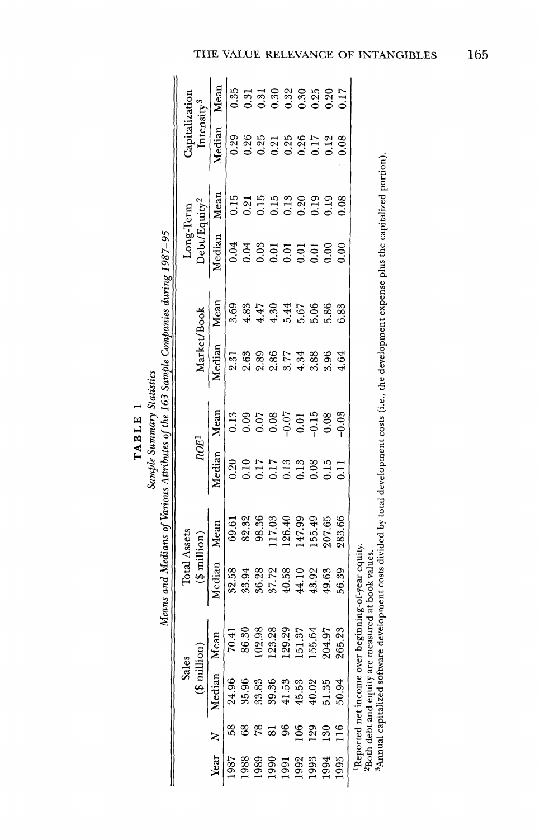| $\overline{\phantom{0}}$ | $\overline{\phantom{a}}$ |
|--------------------------|--------------------------|
| 닠                        |                          |
| ⊣                        |                          |
| m                        |                          |
| ⋖                        | $\cdot$                  |
| Ë                        |                          |
|                          |                          |

|                                                                                    |                |                          | Mean   | 0.35  | $^{51}$       | 0.31   | 0.30                 | 0.32              | 0.30   | 0.25    | 0.20            | 0.17    |                                                                                                                                                |
|------------------------------------------------------------------------------------|----------------|--------------------------|--------|-------|---------------|--------|----------------------|-------------------|--------|---------|-----------------|---------|------------------------------------------------------------------------------------------------------------------------------------------------|
|                                                                                    | Capitalization | Intensity <sup>3</sup>   | Median | 0.29  | 0.26          | 0.25   | 0.21                 | 0.25              | 0.26   | 0.17    | 0.12            | 0.08    |                                                                                                                                                |
|                                                                                    |                |                          | Mean   | 0.15  | 0.21          | 0.15   | 0.15                 | 0.13              | 0.20   | 0.19    | 0.19            | 0.08    |                                                                                                                                                |
|                                                                                    | Long-Term      | Debt/Equity <sup>2</sup> | Median | 0.04  | 0.04          | 0.03   | 0.01                 | $\overline{0}$ .0 | 0.01   | 0.01    | $\frac{8}{2}$   | 0.00    |                                                                                                                                                |
|                                                                                    |                |                          | Mean   | 3.69  | 4.83          | 4.47   | 4.30                 | 5.44              | 5.67   | 5.06    | 5.86            | 6.83    |                                                                                                                                                |
| Means and Medians of Various Attributes of the 163 Sample Companies during 1987–95 |                | Market/Book              | Median | 2.31  | 2.63          | 2.89   | 2.86                 | 3.77              | 4.34   | 3.88    | 3.96            | 4.64    | Annual capitalized software development costs divided by total development costs (i.e., the development expense plus the capitalized portion). |
| Sample Summary Statistics                                                          |                |                          | Mean   | 0.13  | 0.09          | 0.07   | 0.08                 | $-0.07$           | 0.01   | $-0.15$ | 0.08            | $-0.03$ |                                                                                                                                                |
|                                                                                    |                | ROE <sup>1</sup>         | Median | 0.20  | $\frac{1}{2}$ | 717    | 717                  | 0.13              | 0.13   | 0.08    | 0.15            | E.O     |                                                                                                                                                |
|                                                                                    |                |                          | Mean   | 69.61 | 82.32         | 98.36  | 17.03                | 126.40            | 147.99 | 155.49  | 207.65          | 283.66  |                                                                                                                                                |
|                                                                                    | Total Assets   | $(\frac{4}{3}$ million)  | Median | 32.58 | 33.94         | 36.28  | 37.72                | 40.58             | 44.10  | 43.92   | 49.63           | 56.39   |                                                                                                                                                |
|                                                                                    |                | million                  | Mean   | 70.41 | 86.30         | 102,98 | 123.28               | 129.29            | 151.37 | 155.64  | 204.97          | 265.23  | Reported net income over beginning-of-year equity.<br>ly are measured at book values.                                                          |
|                                                                                    | Sales          |                          | Median | 24.96 | 35.9E         | 33.83  | 39.36                | 41.53             | 45.53  | 40.02   | 51.35           | 50.94   | <sup>2</sup> Both debt and equit                                                                                                               |
|                                                                                    |                |                          |        |       |               |        |                      |                   |        | 129     | $\overline{30}$ |         |                                                                                                                                                |
|                                                                                    |                |                          | Year N | 1987  | 1988          |        | 1989<br>1990<br>1991 |                   | 1992   | 1993    | 1994            | 1995    |                                                                                                                                                |

**Sample Summary Statistics**   $\mathbf{u}$  $\mathbf{v}$ **Attributes Sample Companies during 1987-95** 

165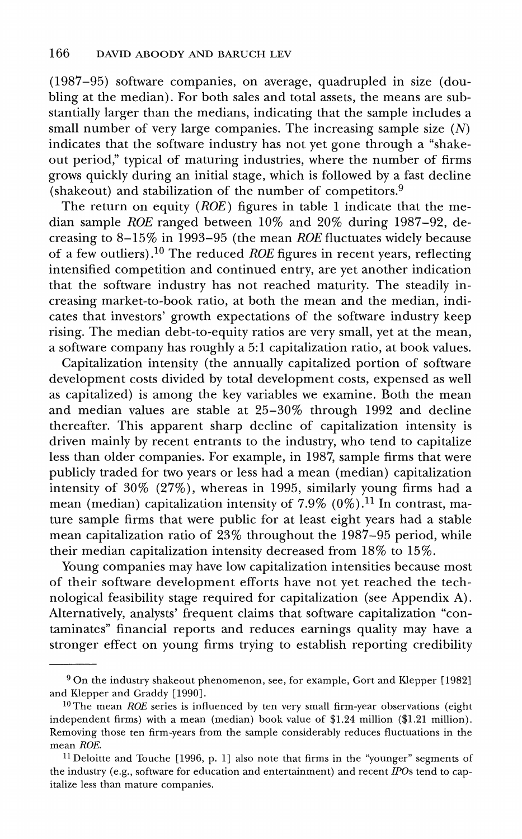**(1987-95) software companies, on average, quadrupled in size (doubling at the median). For both sales and total assets, the means are substantially larger than the medians, indicating that the sample includes a small number of very large companies. The increasing sample size (N) indicates that the software industry has not yet gone through a "shakeout period," typical of maturing industries, where the number of firms grows quickly during an initial stage, which is followed by a fast decline (shakeout) and stabilization of the number of competitors.9** 

**The return on equity (ROE) figures in table 1 indicate that the median sample ROE ranged between 10% and 20% during 1987-92, decreasing to 8-15% in 1993-95 (the mean ROE fluctuates widely because of a few outliers).10 The reduced ROE figures in recent years, reflecting intensified competition and continued entry, are yet another indication that the software industry has not reached maturity. The steadily increasing market-to-book ratio, at both the mean and the median, indicates that investors' growth expectations of the software industry keep rising. The median debt-to-equity ratios are very small, yet at the mean, a software company has roughly a 5:1 capitalization ratio, at book values.** 

**Capitalization intensity (the annually capitalized portion of software development costs divided by total development costs, expensed as well as capitalized) is among the key variables we examine. Both the mean and median values are stable at 25-30% through 1992 and decline thereafter. This apparent sharp decline of capitalization intensity is driven mainly by recent entrants to the industry, who tend to capitalize less than older companies. For example, in 1987, sample firms that were publicly traded for two years or less had a mean (median) capitalization intensity of 30% (27%), whereas in 1995, similarly young firms had a mean (median) capitalization intensity of 7.9% (0%).11 In contrast, mature sample firms that were public for at least eight years had a stable mean capitalization ratio of 23% throughout the 1987-95 period, while their median capitalization intensity decreased from 18% to 15%.** 

**Young companies may have low capitalization intensities because most of their software development efforts have not yet reached the technological feasibility stage required for capitalization (see Appendix A). Alternatively, analysts' frequent claims that software capitalization "contaminates" financial reports and reduces earnings quality may have a stronger effect on young firms trying to establish reporting credibility** 

**<sup>9</sup> On the industry shakeout phenomenon, see, for example, Gort and Klepper [1982] and Klepper and Graddy [1990].** 

<sup>&</sup>lt;sup>10</sup> The mean *ROE* series is influenced by ten very small firm-year observations (eight **independent firms) with a mean (median) book value of \$1.24 million (\$1.21 million). Removing those ten firm-years from the sample considerably reduces fluctuations in the mean ROE.** 

**<sup>11</sup> Deloitte and Touche [1996, p. 1] also note that firms in the "younger" segments of the industry (e.g., software for education and entertainment) and recent IPOs tend to capitalize less than mature companies.**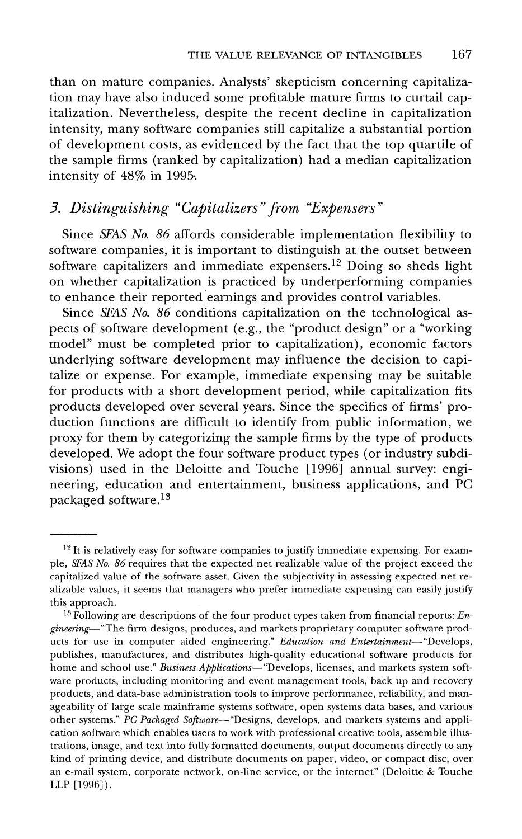**than on mature companies. Analysts' skepticism concerning capitalization may have also induced some profitable mature firms to curtail capitalization. Nevertheless, despite the recent decline in capitalization intensity, many software companies still capitalize a substantial portion of development costs, as evidenced by the fact that the top quartile of the sample firms (ranked by capitalization) had a median capitalization intensity of 48% in 1995,** 

### **3. Distinguishing "Capitalizers"from "Expensers"**

**Since SFAS No. 86 affords considerable implementation flexibility to software companies, it is important to distinguish at the outset between software capitalizers and immediate expensers.12 Doing so sheds light on whether capitalization is practiced by underperforming companies to enhance their reported earnings and provides control variables.** 

**Since SFAS No. 86 conditions capitalization on the technological aspects of software development (e.g., the "product design" or a "working model" must be completed prior to capitalization), economic factors underlying software development may influence the decision to capitalize or expense. For example, immediate expensing may be suitable for products with a short development period, while capitalization fits products developed over several years. Since the specifics of firms' production functions are difficult to identify from public information, we proxy for them by categorizing the sample firms by the type of products developed. We adopt the four software product types (or industry subdivisions) used in the Deloitte and Touche [1996] annual survey: engineering, education and entertainment, business applications, and PC packaged software.13** 

**<sup>12</sup> It is relatively easy for software companies to justify immediate expensing. For example, SFAS No. 86 requires that the expected net realizable value of the project exceed the capitalized value of the software asset. Given the subjectivity in assessing expected net realizable values, it seems that managers who prefer immediate expensing can easily justify this approach.** 

**<sup>13</sup> Following are descriptions of the four product types taken from financial reports: Engineering- "The firm designs, produces, and markets proprietary computer software prod**ucts for use in computer aided engineering." Education and Entertainment-"Develops, **publishes, manufactures, and distributes high-quality educational software products for**  home and school use." Business Applications-"Develops, licenses, and markets system soft**ware products, including monitoring and event management tools, back up and recovery products, and data-base administration tools to improve performance, reliability, and manageability of large scale mainframe systems software, open systems data bases, and various**  other systems." PC Packaged Software-"Designs, develops, and markets systems and appli**cation software which enables users to work with professional creative tools, assemble illustrations, image, and text into fully formatted documents, output documents directly to any kind of printing device, and distribute documents on paper, video, or compact disc, over an e-mail system, corporate network, on-line service, or the internet" (Deloitte & Touche LLP [1996]).**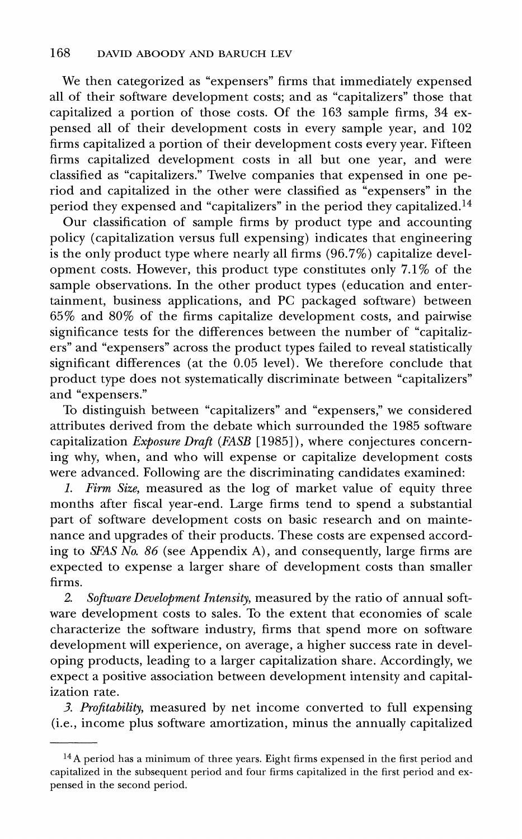**We then categorized as "expensers" firms that immediately expensed all of their software development costs; and as "capitalizers" those that capitalized a portion of those costs. Of the 163 sample firms, 34 expensed all of their development costs in every sample year, and 102 firms capitalized a portion of their development costs every year. Fifteen firms capitalized development costs in all but one year, and were classified as "capitalizers." Twelve companies that expensed in one period and capitalized in the other were classified as "expensers" in the period they expensed and "capitalizers" in the period they capitalized.14** 

**Our classification of sample firms by product type and accounting**  policy (capitalization versus full expensing) indicates that engineering **policy** is the only product type where nearly all firms (96.7%) capitalize devel**opment costs. However, this product type constitutes only 7.1% of the**  sample observations. In the other product types (education and enter**tainment, business applications, and PC packaged software) between 65% and 80% of the firms capitalize development costs, and pairwise significance tests for the differences between the number of "capitalizers" and "expensers" across the product types failed to reveal statistically significant differences (at the 0.05 level). We therefore conclude that product type does not systematically discriminate between "capitalizers" and "expensers."** 

**To distinguish between "capitalizers" and "expensers," we considered attributes derived from the debate which surrounded the 1985 software capitalization Exposure Draft (FASB [1985]), where conjectures concerning why, when, and who will expense or capitalize development costs were advanced. Following are the discriminating candidates examined:** 

**1. Firm Size, measured as the log of market value of equity three months after fiscal year-end. Large firms tend to spend a substantial part of software development costs on basic research and on maintenance and upgrades of their products. These costs are expensed according to SFAS No. 86 (see Appendix A), and consequently, large firms are**  expected to expense a larger share of development costs than smaller **firms.** 

**2. Software Development Intensity, measured by the ratio of annual software development costs to sales. To the extent that economies of scale characterize the software industry, firms that spend more on software development will experience, on average, a higher success rate in developing products, leading to a larger capitalization share. Accordingly, we**  expect a positive association between development intensity and capital**ization rate.** 

**3. Profitability, measured by net income converted to full expensing (i.e., income plus software amortization, minus the annually capitalized** 

**<sup>14</sup>A period has a minimum of three years. Eight firms expensed in the first period and capitalized in the subsequent period and four firms capitalized in the first period and expensed in the second period.**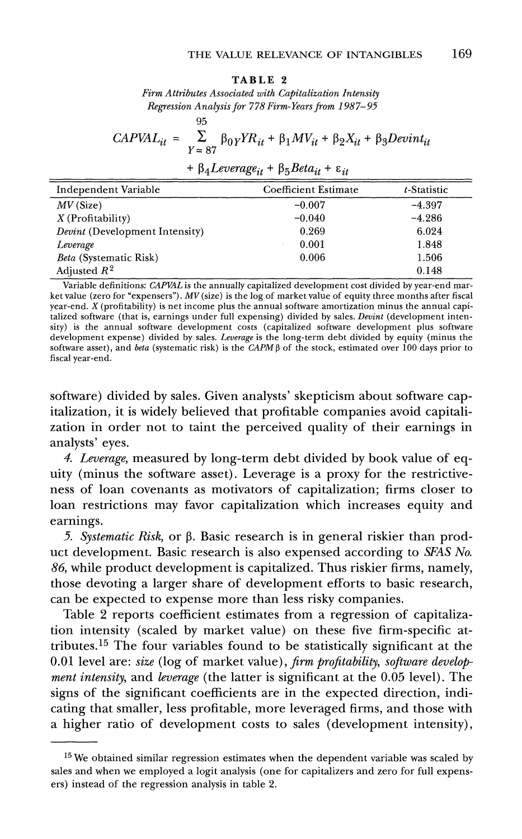#### **TABLE 2**

**Firm Attributes Associated with Capitalization Intensity Regression Analysis for 778Firm-Years from 1987-95** 

 $\alpha$ E

$$
CAPVAL_{it} = \sum_{Y=87}^{55} \beta_{0Y} YR_{it} + \beta_{1} MV_{it} + \beta_{2}X_{it} + \beta_{3}Devint_{it}
$$

$$
+ \beta_{4} Leverage_{it} + \beta_{5} Beta_{it} + \varepsilon_{it}
$$

| Independent Variable                  | Coefficient Estimate | t-Statistic |
|---------------------------------------|----------------------|-------------|
| $MV$ (Size)                           | $-0.007$             | $-4.397$    |
| $X$ (Profitability)                   | $-0.040$             | $-4.286$    |
| <i>Devint</i> (Development Intensity) | 0.269                | 6.024       |
| Leverage                              | 0.001                | 1.848       |
| <i>Beta</i> (Systematic Risk)         | 0.006                | 1.506       |
| Adjusted $R^2$                        |                      | 0.148       |

**Variable definitions: CAPVAL is the annually capitalized development cost divided by year-end market value (zero for "expensers"). MV (size) is the log of market value of equity three months after fiscal year-end. X (profitability) is net income plus the annual software amortization minus the annual capi**talized software (that is, earnings under full expensing) divided by sales. Devint (development inten**sity) is the annual software development costs (capitalized software development plus software development expense) divided by sales. Leverage isthe long-term debt divided by equity (minus the**  software asset), and *beta* (systematic risk) is the  $CAPM\beta$  of the stock, estimated over 100 days prior to **fiscal year-end.** 

**software) divided by sales. Given analysts' skepticism about software capitalization, it is widely believed that profitable companies avoid capitalization in order not to taint the perceived quality of their earnings in analysts' eyes.** 

**4. Leverage, measured by long-term debt divided by book value of equity (minus the software asset). Leverage is a proxy for the restrictiveness of loan covenants as motivators of capitalization; firms closer to loan restrictions may favor capitalization which increases equity and earnings.** 

**5.** Systematic Risk, or β. Basic research is in general riskier than prod**uct development. Basic research is also expensed according to SFAS No. 86, while product development is capitalized. Thus riskier firms, namely, those devoting a larger share of development efforts to basic research, can be expected to expense more than less risky companies.** 

**Table 2 reports coefficient estimates from a regression of capitalization intensity (scaled by market value) on these five firm-specific attributes.15 The four variables found to be statistically significant at the 0.01 level are: size (log of market value), firm profitability, software development intensity, and leverage (the latter is significant at the 0.05 level). The signs of the significant coefficients are in the expected direction, indicating that smaller, less profitable, more leveraged firms, and those with a higher ratio of development costs to sales (development intensity),** 

**<sup>15</sup> We obtained similar regression estimates when the dependent variable was scaled by sales and when we employed a logit analysis (one for capitalizers and zero for full expensers) instead of the regression analysis in table 2.**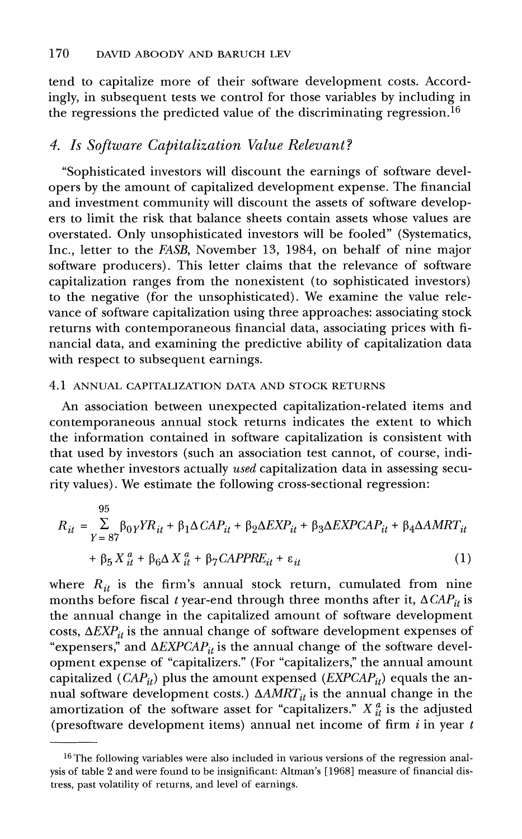**tend to capitalize more of their software development costs. Accordingly, in subsequent tests we control for those variables by including in the regressions the predicted value of the discriminating regression.16** 

### **4. Is Software Capitalization Value Relevant?**

**"Sophisticated investors will discount the earnings of software developers by the amount of capitalized development expense. The financial and investment community will discount the assets of software developers to limit the risk that balance sheets contain assets whose values are overstated. Only unsophisticated investors will be fooled" (Systematics, Inc., letter to the FASB, November 13, 1984, on behalf of nine major software producers). This letter claims that the relevance of software capitalization ranges from the nonexistent (to sophisticated investors) to the negative (for the unsophisticated). We examine the value relevance of software capitalization using three approaches: associating stock returns with contemporaneous financial data, associating prices with financial data, and examining the predictive ability of capitalization data with respect to subsequent earnings.** 

#### **4.1 ANNUAL CAPITALIZATION DATA AND STOCK RETURNS**

**An association between unexpected capitalization-related items and contemporaneous annual stock returns indicates the extent to which the information contained in software capitalization is consistent with that used by investors (such an association test cannot, of course, indicate whether investors actually used capitalization data in assessing security values). We estimate the following cross-sectional regression:** 

$$
R_{it} = \sum_{Y=87}^{95} \beta_{0Y} Y R_{it} + \beta_1 \Delta C A P_{it} + \beta_2 \Delta EXP_{it} + \beta_3 \Delta EXPC A P_{it} + \beta_4 \Delta AMRT_{it}
$$

$$
+ \beta_5 X_{it}^a + \beta_6 \Delta X_{it}^a + \beta_7 C A P P R E_{it} + \varepsilon_{it}
$$
(1)

where  $R_{it}$  is the firm's annual stock return, cumulated from nine months before fiscal t year-end through three months after it,  $\Delta CAP_{it}$  is **the annual change in the capitalized amount of software development**  costs,  $\Delta EXP_{it}$  is the annual change of software development expenses of "expensers," and  $\triangle EXPCAP_{it}$  is the annual change of the software devel**opment expense of "capitalizers." (For "capitalizers," the annual amount**  capitalized  $(CAP_{it})$  plus the amount expensed  $(EXPCAP_{it})$  equals the annual software development costs.)  $\triangle AMRT_{it}$  is the annual change in the amortization of the software asset for "capitalizers."  $X_{it}^a$  is the adjusted **(presoftware development items) annual net income of firm i in year t** 

**<sup>16</sup> The following variables were also included in various versions of the regression analysis of table 2 and were found to be insignificant: Altman's [1968] measure of financial distress, past volatility of returns, and level of earnings.**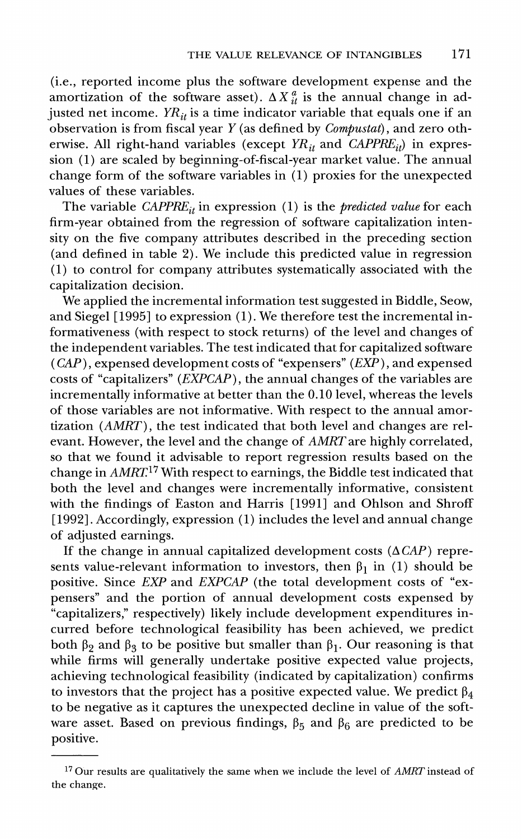**(i.e., reported income plus the software development expense and the**  amortization of the software asset).  $\Delta X_{it}^a$  is the annual change in adjusted net income.  $YR_{it}$  is a time indicator variable that equals one if an **observation is from fiscal year Y (as defined by Compustat), and zero oth**erwise. All right-hand variables (except  $YR_{it}$  and  $\widehat{CAPPRE_{it}}$ ) in expres**sion (1) are scaled by beginning-of-fiscal-year market value. The annual change form of the software variables in (1) proxies for the unexpected values of these variables.** 

The variable  $CAPPRE_{it}$  in expression (1) is the *predicted value* for each **firm-year obtained from the regression of software capitalization intensity on the five company attributes described in the preceding section (and defined in table 2). We include this predicted value in regression (1) to control for company attributes systematically associated with the capitalization decision.** 

**We applied the incremental information test suggested in Biddle, Seow, and Siegel [1995] to expression (1). We therefore test the incremental informativeness (with respect to stock returns) of the level and changes of the independent variables. The test indicated that for capitalized software (CAP), expensed development costs of "expensers" (EXP), and expensed costs of "capitalizers" (EXPCAP), the annual changes of the variables are incrementally informative at better than the 0.10 level, whereas the levels of those variables are not informative. With respect to the annual amortization (AMRT), the test indicated that both level and changes are relevant. However, the level and the change of AMRT are highly correlated, so that we found it advisable to report regression results based on the change in AMRT17 With respect to earnings, the Biddle test indicated that both the level and changes were incrementally informative, consistent with the findings of Easton and Harris [1991] and Ohlson and Shroff [1992]. Accordingly, expression (1) includes the level and annual change of adjusted earnings.** 

If the change in annual capitalized development costs  $(\Delta CAP)$  represents value-relevant information to investors, then  $\beta_1$  in (1) should be **positive. Since EXP and EXPCAP (the total development costs of "expensers" and the portion of annual development costs expensed by "capitalizers," respectively) likely include development expenditures incurred before technological feasibility has been achieved, we predict**  both  $\beta_2$  and  $\beta_3$  to be positive but smaller than  $\beta_1$ . Our reasoning is that **while firms will generally undertake positive expected value projects, achieving technological feasibility (indicated by capitalization) confirms**  to investors that the project has a positive expected value. We predict  $\beta_4$ **to be negative as it captures the unexpected decline in value of the soft**ware asset. Based on previous findings,  $\beta_5$  and  $\beta_6$  are predicted to be **positive.** 

**<sup>17</sup> Our results are qualitatively the same when we include the level of AMRT instead of the change.**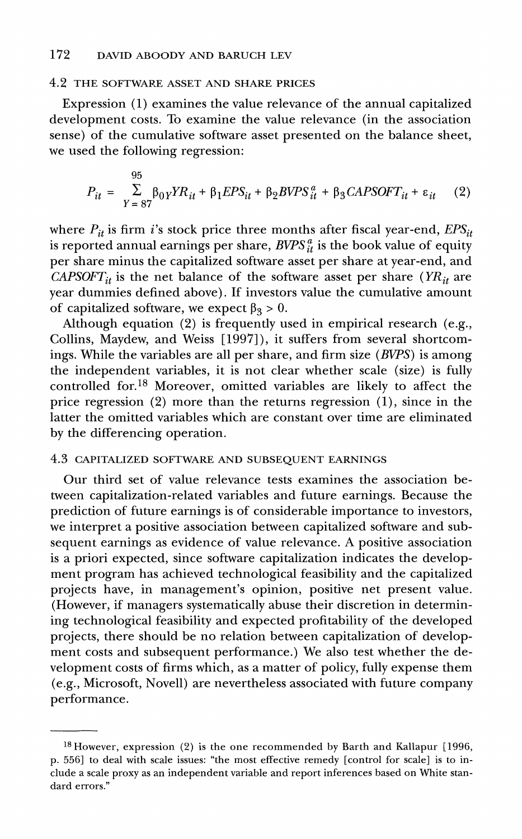### **4.2 THE SOFTWARE ASSET AND SHARE PRICES**

**Expression (1) examines the value relevance of the annual capitalized development costs. To examine the value relevance (in the association sense) of the cumulative software asset presented on the balance sheet, we used the following regression:** 

$$
P_{it} = \sum_{Y=87}^{95} \beta_{0Y} Y R_{it} + \beta_1 EPS_{it} + \beta_2 B VPS_{it}^a + \beta_3 CAPSOTT_{it} + \varepsilon_{it}
$$
 (2)

where  $P_{it}$  is firm *i*'s stock price three months after fiscal year-end,  $EPS_{it}$ is reported annual earnings per share,  $BVPS_{it}^a$  is the book value of equity **per share minus the capitalized software asset per share at year-end, and**  CAPSOFT<sub>it</sub> is the net balance of the software asset per share ( $YR_{it}$  are **year dummies defined above). If investors value the cumulative amount**  of capitalized software, we expect  $\beta_3 > 0$ .

**Although equation (2) is frequently used in empirical research (e.g., Collins, Maydew, and Weiss [1997]), it suffers from several shortcomings. While the variables are all per share, and firm size (BVPS) is among the independent variables, it is not clear whether scale (size) is fully controlled for.18 Moreover, omitted variables are likely to affect the price regression (2) more than the returns regression (1), since in the latter the omitted variables which are constant over time are eliminated by the differencing operation.** 

### **4.3 CAPITALIZED SOFTWARE AND SUBSEQUENT EARNINGS**

**Our third set of value relevance tests examines the association between capitalization-related variables and future earnings. Because the prediction of future earnings is of considerable importance to investors, we interpret a positive association between capitalized software and subsequent earnings as evidence of value relevance. A positive association is a priori expected, since software capitalization indicates the development program has achieved technological feasibility and the capitalized projects have, in management's opinion, positive net present value. (However, if managers systematically abuse their discretion in determining technological feasibility and expected profitability of the developed projects, there should be no relation between capitalization of development costs and subsequent performance.) We also test whether the development costs of firms which, as a matter of policy, fully expense them (e.g., Microsoft, Novell) are nevertheless associated with future company performance.** 

**<sup>18</sup>However, expression (2) is the one recommended by Barth and Kallapur [1996, p. 556] to deal with scale issues: "the most effective remedy [control for scale] is to include a scale proxy as an independent variable and report inferences based on White standard errors."**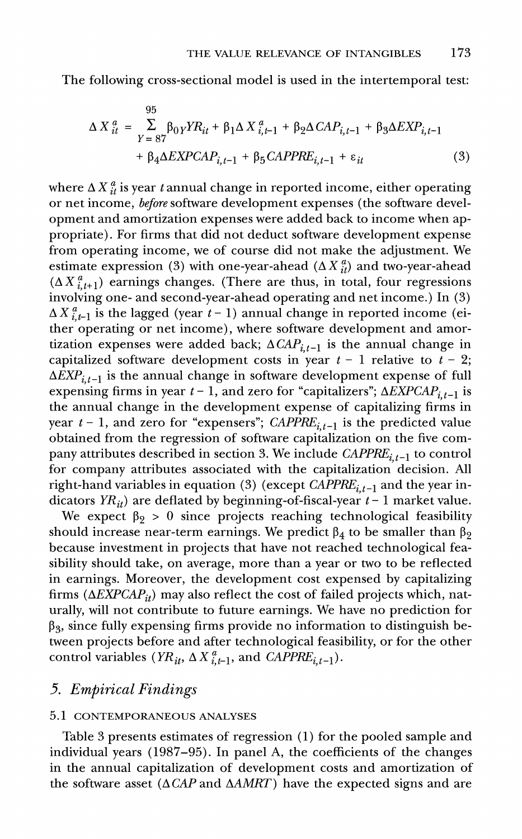**The following cross-sectional model is used in the intertemporal test:** 

$$
\Delta X_{it}^{a} = \sum_{Y=87}^{95} \beta_{0Y} Y R_{it} + \beta_{1} \Delta X_{i,t-1}^{a} + \beta_{2} \Delta C A P_{i,t-1} + \beta_{3} \Delta EXP_{i,t-1} + \beta_{4} \Delta EXPC A P_{i,t-1} + \beta_{5} CAP P R E_{i,t-1} + \varepsilon_{it}
$$
\n(3)

where  $\Delta X_{it}^a$  is year t annual change in reported income, either operating **or net income, before software development expenses (the software development and amortization expenses were added back to income when appropriate). For firms that did not deduct software development expense from operating income, we of course did not make the adjustment. We**  estimate expression (3) with one-year-ahead  $(\Delta X_{it}^a)$  and two-year-ahead  $(\Delta X_{i,t+1}^a)$  earnings changes. (There are thus, in total, four regressions **involving one- and second-year-ahead operating and net income.) In (3)**   $\Delta X_{i-1}^a$  is the lagged (year t – 1) annual change in reported income (ei**ther operating or net income), where software development and amor**tization expenses were added back;  $\Delta CAP_{i,t-1}$  is the annual change in capitalized software development costs in year  $t - 1$  relative to  $t - 2$ ;  $\Delta EXP_{i,t-1}$  is the annual change in software development expense of full expensing firms in year  $t - 1$ , and zero for "capitalizers";  $\Delta EXPCAP_{i,t-1}$  is **the annual change in the development expense of capitalizing firms in**  year  $t - 1$ , and zero for "expensers"; CAPPRE<sub>it-1</sub> is the predicted value **obtained from the regression of software capitalization on the five com**pany attributes described in section 3. We include  $CAPPRE_{i,t-1}$  to control **for company attributes associated with the capitalization decision. All**  right-hand variables in equation (3) (except  $\widehat{CAPPE}_{i,t-1}$  and the year indicators  $YR_{ii}$ ) are deflated by beginning-of-fiscal-year  $t-1$  market value.

We expect  $\beta_2 > 0$  since projects reaching technological feasibility should increase near-term earnings. We predict  $\beta_4$  to be smaller than  $\beta_2$ **because investment in projects that have not reached technological feasibility should take, on average, more than a year or two to be reflected in earnings. Moreover, the development cost expensed by capitalizing**  firms  $(\Delta EXPCAP_{it})$  may also reflect the cost of failed projects which, nat**urally, will not contribute to future earnings. We have no prediction for 03, since fully expensing firms provide no information to distinguish between projects before and after technological feasibility, or for the other**  control variables  $(YR_{it}, \Delta X_{i-1}^a)$ , and  $CAPPRE_{i,t-1}$ ).

### **5. Empirical Findings**

### **5.1 CONTEMPORANEOUS ANALYSES**

**Table 3 presents estimates of regression (1) for the pooled sample and individual years (1987-95). In panel A, the coefficients of the changes in the annual capitalization of development costs and amortization of**  the software asset  $(\Delta CAP \text{ and } \Delta AMRT)$  have the expected signs and are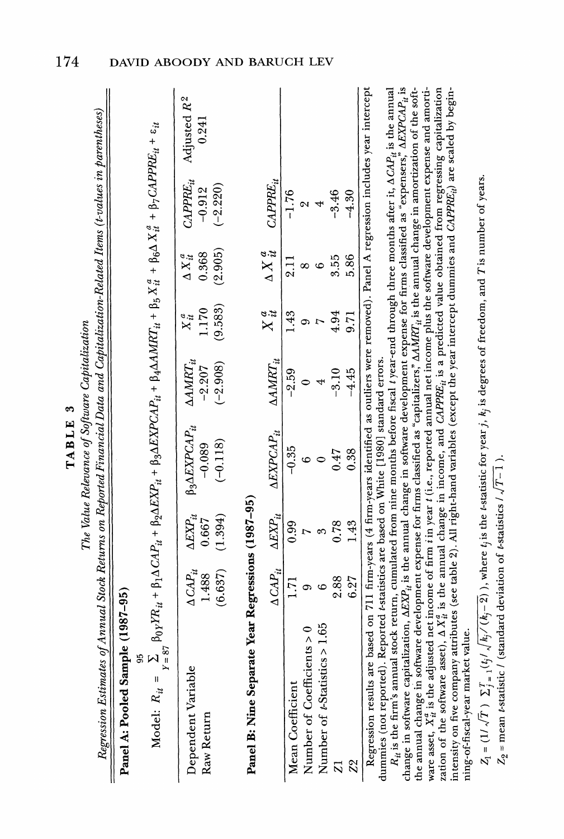**degrees of freedom, and** 

 $\frac{3}{2}$  $\frac{1}{2}$ **is**   $\mathbb{H}$  $\frac{3}{2}$ **change in and value from**   $\vec{B}$  $\tilde{\mathbf{z}}$ **table 2).**   $\hat{a}$ **right-hand**   $\frac{1}{2}$ ।  $\mathcal{E}$ **the**   $\mathbb{E}$  $\mathcal{E}$  is  $\mathbb{I}$  $\frac{1}{2}$  $\mathbf{r}$ **CAPPREit) are**   $\frac{3}{2}$  $\alpha$ **beginvalue. t-statistic**   $\mathbf{r}$ 

**market** 

| è<br>᠈<br>į<br>١ |
|------------------|
| j                |
|                  |
|                  |

| Regression Estimates of Annual Stock Returns on Reported Financial Data and Capitalization-Related Items (t-values in parentheses)<br>The hander I consider to a more component of the same of the component of the component of the component of the component of the component of the component of the component of the component of the component of the componen | Panel A: Pooled Sample (1987-95) | $\text{Model: } R_{it} = \sum_{Y=87} S_{0Y}Y R_{it} + \beta_1 \Delta \text{CAP}_{it} + \beta_2 \Delta \text{EXP}_{it} + \beta_3 \Delta \text{XPCAP}_{it} + \beta_4 \Delta \text{MRT}_{it} + \beta_5 X_{it}^2 + \beta_6 \Delta X_{it}^2 + \beta_7 \text{CAPPE}_{it} + \epsilon_{it}$ | CAPPRE <sub>it</sub> Adjusted $R^2$<br>0.241<br>$(-2.220)$<br>$-0.912$<br>$\triangle AMRT_{it}$ $X_{it}^a$ $\triangle X_{it}^a$<br>$(-2.908)$ $(9.583)$ $(2.905)$<br>0.368<br>1.170<br>$-2.207$<br>$\Delta\,CAP_{it} \quad \Delta EXP_{it} \quad \beta_3 \Delta EXPCAP_{it} \ 1.488 \quad \quad 0.667 \quad \quad -0.089$<br>$(-0.118)$<br>(1.394)<br>(6.637) |
|----------------------------------------------------------------------------------------------------------------------------------------------------------------------------------------------------------------------------------------------------------------------------------------------------------------------------------------------------------------------|----------------------------------|-------------------------------------------------------------------------------------------------------------------------------------------------------------------------------------------------------------------------------------------------------------------------------------|---------------------------------------------------------------------------------------------------------------------------------------------------------------------------------------------------------------------------------------------------------------------------------------------------------------------------------------------------------------|
|                                                                                                                                                                                                                                                                                                                                                                      |                                  |                                                                                                                                                                                                                                                                                     | Dependent Variable<br>Raw Return                                                                                                                                                                                                                                                                                                                              |

| Panel B: Nine Separate Year Regressions (1987-95)                                                                                             |      |                                                         |                                              |         |      |      |                                                   |  |
|-----------------------------------------------------------------------------------------------------------------------------------------------|------|---------------------------------------------------------|----------------------------------------------|---------|------|------|---------------------------------------------------|--|
|                                                                                                                                               |      | $\Delta \text{CAP}_{it} \hspace{1.5em} \Delta EXP_{it}$ | $\Delta EXPCAP_{it} \qquad \Delta AMRT_{it}$ |         |      |      | $X^a_{it}$ $\Delta X^a_{it}$ CAPPRE <sub>it</sub> |  |
| Mean Coefficient                                                                                                                              |      |                                                         |                                              | $-2.59$ |      |      | $-1.76$                                           |  |
| Number of Coefficients > 0                                                                                                                    |      |                                                         |                                              |         |      |      |                                                   |  |
| Number of <i>t</i> -Statistics > 1.65                                                                                                         |      |                                                         |                                              |         |      |      |                                                   |  |
|                                                                                                                                               | 2.88 | <b>178</b>                                              | 147                                          | $-3.10$ | 4.94 | 3.55 | $-3.46$                                           |  |
| $\mathbb{S}^2$                                                                                                                                | 6.27 | 1.43                                                    | .38                                          | $-4.45$ | 9.71 | 5.86 | $-4.30$                                           |  |
| Decreesion results are based on 711 firm-rears (4 firm-rears identified as outliers were removed). Panel A regression includes year intercept |      |                                                         |                                              |         |      |      |                                                   |  |

 $\frac{1}{2}$ <sup>---+:+0</sup><br>
ad as outliers were removed). Panel A regr<br>
1) standard errors.<br>
oefore fiscal *t* year-end through three month **|핑 등 편** 

**Value of Estimates of Annual Stock Returns on Reported Financial Data**  a<br>and a **Capitalization-Related**   $\ddot{\mathbf{r}}$   $\ddot{\mathbf{r}}$ **(t-values in**   $\epsilon$ : E  $\Xi$   $\Xi$   $\Xi$ **Sample**   $(19.87)$ **95 ~Y**  '<u></u> "଼୍ୟ 8 **+ Le** : 5 . E **+**   $\begin{bmatrix} 0 & 0 \\ 0 & 0 \end{bmatrix}$ **EXPITE + 3IAEXPCAPit + J4AAMRTit + 35**   $\sum_{i=1}^{n}$ **J6A**   $\mathbf{H}$   $\mathbf{F}$   $\mathbf{F}$ ុ<u>ឌ</u> EX 88 **+ Cit 3AEXPCAPit CAPPER** 

**TABLE 3 Relevance Software Capitalization**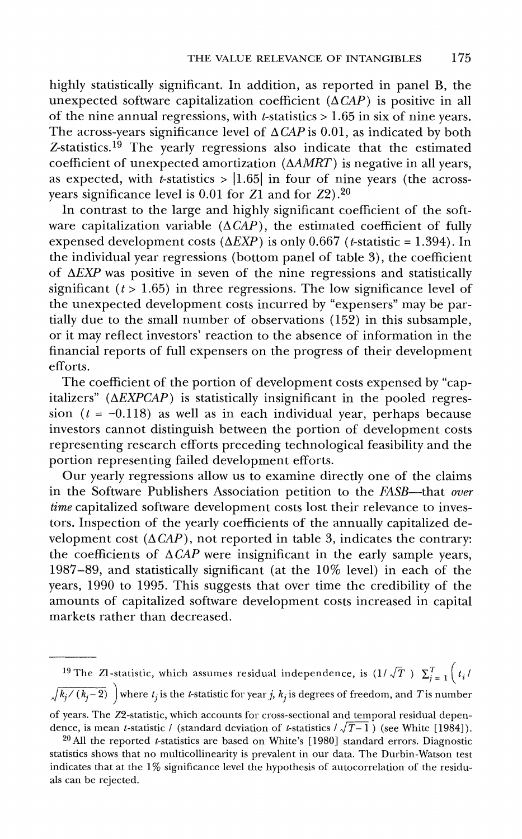**highly statistically significant. In addition, as reported in panel B, the**  unexpected software capitalization coefficient  $(\triangle CAP)$  is positive in all **of the nine annual regressions, with t-statistics > 1.65 in six of nine years.**  The across-years significance level of  $\triangle CAP$  is 0.01, as indicated by both **Z-statistics.19 The yearly regressions also indicate that the estimated coefficient of unexpected amortization (AAMRT) is negative in all years,**  as expected, with  $t$ -statistics >  $|1.65|$  in four of nine years (the across**years significance level is 0.01 for Z1 and for Z2).20** 

**In contrast to the large and highly significant coefficient of the soft**ware capitalization variable  $(\Delta \overrightarrow{CAP})$ , the estimated coefficient of fully **expensed development costs (** $\triangle EXP$ **) is only 0.667 (***t***-statistic = 1.394). In the individual year regressions (bottom panel of table 3), the coefficient of AEXP was positive in seven of the nine regressions and statistically**  significant  $(t > 1.65)$  in three regressions. The low significance level of **the unexpected development costs incurred by "expensers" may be partially due to the small number of observations (152) in this subsample, or it may reflect investors' reaction to the absence of information in the financial reports of full expensers on the progress of their development efforts.** 

**The coefficient of the portion of development costs expensed by "cap**italizers" ( $\triangle EXPCAP$ ) is statistically insignificant in the pooled regres $sion$  ( $t = -0.118$ ) as well as in each individual year, perhaps because **investors cannot distinguish between the portion of development costs representing research efforts preceding technological feasibility and the portion representing failed development efforts.** 

**Our yearly regressions allow us to examine directly one of the claims in the Software Publishers Association petition to the FASB-that over time capitalized software development costs lost their relevance to investors. Inspection of the yearly coefficients of the annually capitalized de**velopment cost  $(\Delta CAP)$ , not reported in table 3, indicates the contrary: the coefficients of  $\triangle CAP$  were insignificant in the early sample years, **1987-89, and statistically significant (at the 10% level) in each of the years, 1990 to 1995. This suggests that over time the credibility of the amounts of capitalized software development costs increased in capital markets rather than decreased.** 

<sup>19</sup> The ZI-statistic, which assumes residual independence, is  $(1/\sqrt{T})$   $\sum_{i=1}^{T}$   $\left(t_i/t_i\right)$  $\sqrt{k_i/(k_i-2)}$  where  $t_i$  is the *t*-statistic for year j,  $k_j$  is degrees of freedom, and T is number **of years. The Z2-statistic, which accounts for cross-sectional and temporal residual depen**dence, is mean *t*-statistic / (standard deviation of *t*-statistics  $/\sqrt{T-1}$ ) (see White [1984]).

**<sup>20</sup>All the reported t-statistics are based on White's [1980] standard errors. Diagnostic statistics shows that no multicollinearity is prevalent in our data. The Durbin-Watson test indicates that at the 1% significance level the hypothesis of autocorrelation of the residuals can be rejected.**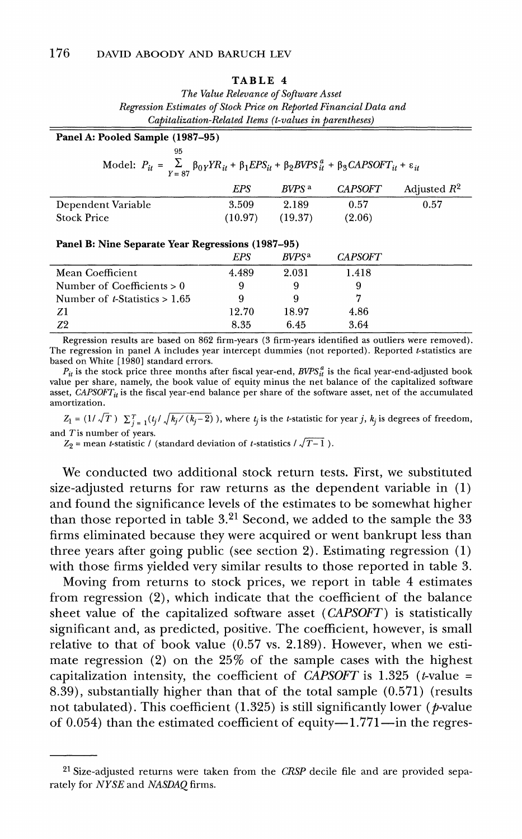#### **TABLE 4**

**The Value Relevance of Software Asset Regression Estimates of Stock Price on Reported Financial Data and Capitalization-Related Items (t-values in parentheses)** 

| Panel A: Pooled Sample (1987-95) |                   |                                                   |                                                                                                                                        |
|----------------------------------|-------------------|---------------------------------------------------|----------------------------------------------------------------------------------------------------------------------------------------|
|                                  |                   |                                                   |                                                                                                                                        |
|                                  |                   |                                                   |                                                                                                                                        |
|                                  |                   |                                                   |                                                                                                                                        |
| <b>EPS</b>                       | BVPS <sup>a</sup> | <b>CAPSOFT</b>                                    | Adjusted $R^2$                                                                                                                         |
| 3.509                            | 2.189             | 0.57                                              | 0.57                                                                                                                                   |
| (10.97)                          | (19.37)           | (2.06)                                            |                                                                                                                                        |
|                                  |                   |                                                   |                                                                                                                                        |
|                                  |                   |                                                   |                                                                                                                                        |
|                                  |                   | Panel B: Nine Separate Year Regressions (1987–95) | Model: $P_{it} = \sum_{Y = 87} \beta_{0Y} Y R_{it} + \beta_1 EPS_{it} + \beta_2 BVPS_{it}^a + \beta_3 CAPSOFT_{it} + \varepsilon_{it}$ |

|                                         | EPS   | <i>RVPS</i> <sup>a</sup> | <b>CAPSOFT</b> |  |
|-----------------------------------------|-------|--------------------------|----------------|--|
| Mean Coefficient                        | 4.489 | 2.031                    | 1.418          |  |
| Number of Coefficients $> 0$            |       |                          |                |  |
| Number of <i>t</i> -Statistics $> 1.65$ |       |                          |                |  |
| Z1                                      | 12.70 | 18.97                    | 4.86           |  |
| Z2                                      | 8.35  | 6.45                     | 3.64           |  |

**Regression results are based on 862 firm-years (3 firm-years identified as outliers were removed). The regression in panel A includes year intercept dummies (not reported). Reported t-statistics are based on White [ 1980] standard errors.** 

 $P_{it}$  is the stock price three months after fiscal year-end,  $BVPS_{it}^a$  is the fical year-end-adjusted book **value per share, namely, the book value of equity minus the net balance of the capitalized software**  asset, *CAPSOFT<sub>it</sub>* is the fiscal year-end balance per share of the software asset, net of the accumulated **amortization.** 

 $Z_1 = (1/\sqrt{T}) \sum_{j=1}^{T} (t_j/\sqrt{k_j/(k_j-2)})$ , where  $t_j$  is the *t*-statistic for year j,  $k_j$  is degrees of freedom, **and T is number of years.** 

 $Z_2$  = mean *t*-statistic / (standard deviation of *t*-statistics /  $\sqrt{T-1}$ ).

**We conducted two additional stock return tests. First, we substituted size-adjusted returns for raw returns as the dependent variable in (1) and found the significance levels of the estimates to be somewhat higher than those reported in table 3.21 Second, we added to the sample the 33 firms eliminated because they were acquired or went bankrupt less than three years after going public (see section 2). Estimating regression (1) with those firms yielded very similar results to those reported in table 3.** 

**Moving from returns to stock prices, we report in table 4 estimates from regression (2), which indicate that the coefficient of the balance sheet value of the capitalized software asset (CAPSOFT) is statistically significant and, as predicted, positive. The coefficient, however, is small relative to that of book value (0.57 vs. 2.189). However, when we estimate regression (2) on the 25% of the sample cases with the highest capitalization intensity, the coefficient of CAPSOFT is 1.325 (t-value = 8.39), substantially higher than that of the total sample (0.571) (results**  not tabulated). This coefficient (1.325) is still significantly lower (*p*-value of 0.054) than the estimated coefficient of equity-1.771-in the regres-

**<sup>21</sup> Size-adjusted returns were taken from the CRSP decile file and are provided separately for NYSE and NASDAQ firms.**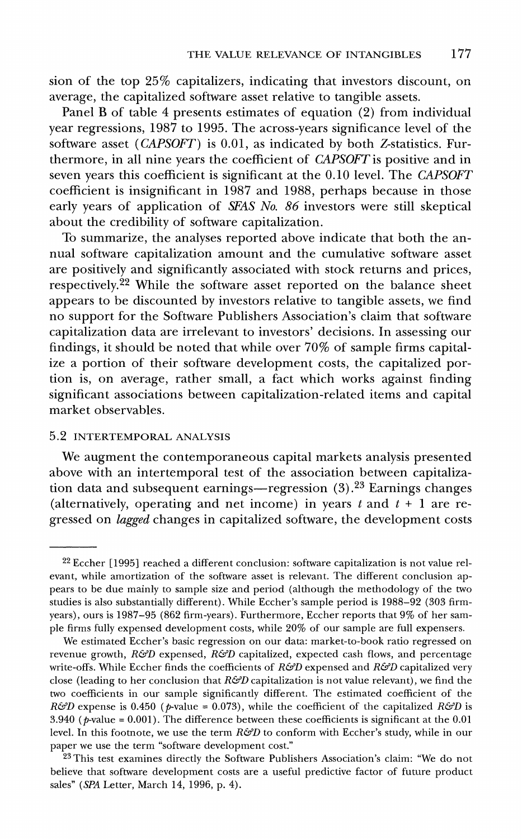**sion of the top 25% capitalizers, indicating that investors discount, on average, the capitalized software asset relative to tangible assets.** 

**Panel B of table 4 presents estimates of equation (2) from individual year regressions, 1987 to 1995. The across-years significance level of the software asset (CAPSOFT) is 0.01, as indicated by both Z-statistics. Furthermore, in all nine years the coefficient of CAPSOFT is positive and in seven years this coefficient is significant at the 0.10 level. The CAPSOFT coefficient is insignificant in 1987 and 1988, perhaps because in those early years of application of SFAS No. 86 investors were still skeptical about the credibility of software capitalization.** 

**To summarize, the analyses reported above indicate that both the annual software capitalization amount and the cumulative software asset are positively and significantly associated with stock returns and prices, respectively.22 While the software asset reported on the balance sheet appears to be discounted by investors relative to tangible assets, we find no support for the Software Publishers Association's claim that software capitalization data are irrelevant to investors' decisions. In assessing our findings, it should be noted that while over 70% of sample firms capitalize a portion of their software development costs, the capitalized portion is, on average, rather small, a fact which works against finding significant associations between capitalization-related items and capital market observables.** 

### **5.2 INTERTEMPORAL ANALYSIS**

**We augment the contemporaneous capital markets analysis presented above with an intertemporal test of the association between capitalization data and subsequent earnings-regression (3).23 Earnings changes**  (alternatively, operating and net income) in years t and  $t + 1$  are re**gressed on lagged changes in capitalized software, the development costs** 

**<sup>22</sup> Eccher [1995] reached a different conclusion: software capitalization is not value relevant, while amortization of the software asset is relevant. The different conclusion appears to be due mainly to sample size and period (although the methodology of the two studies is also substantially different). While Eccher's sample period is 1988-92 (303 firmyears), ours is 1987-95 (862 firm-years). Furthermore, Eccher reports that 9% of her sample firms fully expensed development costs, while 20% of our sample are full expensers.** 

**We estimated Eccher's basic regression on our data: market-to-book ratio regressed on revenue growth, R&D expensed, R&D capitalized, expected cash flows, and percentage**  write-offs. While Eccher finds the coefficients of  $R\mathcal{G}D$  expensed and  $R\mathcal{G}D$  capitalized very **close (leading to her conclusion that R&D capitalization is not value relevant), we find the two coefficients in our sample significantly different. The estimated coefficient of the R&D** expense is 0.450 ( $p$ -value = 0.073), while the coefficient of the capitalized R&D is **3.940 (p-value = 0.001). The difference between these coefficients is significant at the 0.01**  level. In this footnote, we use the term  $R\mathcal{G}D$  to conform with Eccher's study, while in our **paper we use the term "software development cost."** 

**<sup>23</sup> This test examines directly the Software Publishers Association's claim: "We do not believe that software development costs are a useful predictive factor of future product sales" (SPA Letter, March 14, 1996, p. 4).**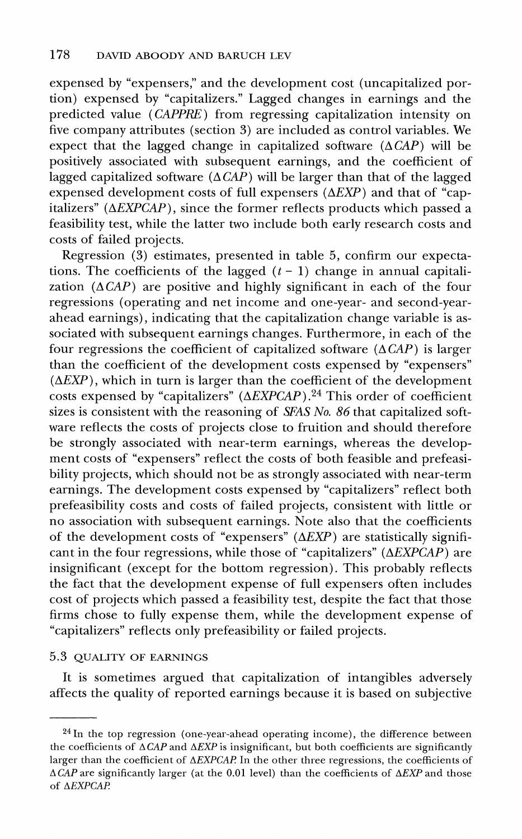**expensed by "expensers," and the development cost (uncapitalized portion) expensed by "capitalizers." Lagged changes in earnings and the predicted value (CAPPRE) from regressing capitalization intensity on five company attributes (section 3) are included as control variables. We**  expect that the lagged change in capitalized software  $(\Delta CAP)$  will be **positively associated with subsequent earnings, and the coefficient of lagged capitalized software (A CAP) will be larger than that of the lagged**  expensed development costs of full expensers ( $\triangle EXP$ ) and that of "cap**italizers" (AEXPCAP), since the former reflects products which passed a feasibility test, while the latter two include both early research costs and costs of failed projects.** 

**Regression (3) estimates, presented in table 5, confirm our expecta**tions. The coefficients of the lagged  $(t - 1)$  change in annual capitali**zation (ACAP) are positive and highly significant in each of the four regressions (operating and net income and one-year- and second-yearahead earnings), indicating that the capitalization change variable is associated with subsequent earnings changes. Furthermore, in each of the**  four regressions the coefficient of capitalized software  $(\Delta CAP)$  is larger **than the coefficient of the development costs expensed by "expensers" (AEXP), which in turn is larger than the coefficient of the development**  costs expensed by "capitalizers" ( $\triangle$ *EXPCAP*).<sup>24</sup> This order of coefficient sizes is consistent with the reasoning of *SFAS No. 86* that capitalized soft**ware reflects the costs of projects close to fruition and should therefore be strongly associated with near-term earnings, whereas the development costs of "expensers" reflect the costs of both feasible and prefeasibility projects, which should not be as strongly associated with near-term earnings. The development costs expensed by "capitalizers" reflect both prefeasibility costs and costs of failed projects, consistent with little or no association with subsequent earnings. Note also that the coefficients of the development costs of "expensers" (AEXP) are statistically significant in the four regressions, while those of "capitalizers" (AEXPCAP) are insignificant (except for the bottom regression). This probably reflects the fact that the development expense of full expensers often includes cost of projects which passed a feasibility test, despite the fact that those firms chose to fully expense them, while the development expense of "capitalizers" reflects only prefeasibility or failed projects.** 

### **5.3 QUALITY OF EARNINGS**

**It is sometimes argued that capitalization of intangibles adversely affects the quality of reported earnings because it is based on subjective** 

**<sup>24</sup>In the top regression (one-year-ahead operating income), the difference between**  the coefficients of  $\triangle CAP$  and  $\triangle EXP$  is insignificant, but both coefficients are significantly **larger than the coefficient of AEXPCAP In the other three regressions, the coefficients of**   $\triangle$ CAP are significantly larger (at the 0.01 level) than the coefficients of  $\triangle$ EXP and those **of AEXPCAR**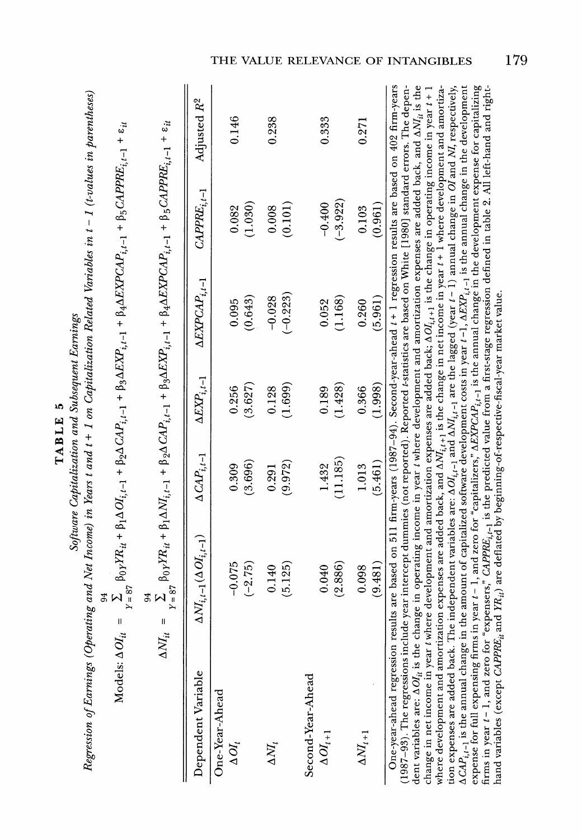| Í<br>۱Ō |
|---------|
| Ŀ.      |
|         |
| α       |
|         |
|         |
|         |
|         |

|                                                                                                                                               |                                                                                                                                                                                                                                 |                                                                                                                                                                                                                                                                  |                                        |                |                |           | I I F    |          |                   |                    |            |                  |         |
|-----------------------------------------------------------------------------------------------------------------------------------------------|---------------------------------------------------------------------------------------------------------------------------------------------------------------------------------------------------------------------------------|------------------------------------------------------------------------------------------------------------------------------------------------------------------------------------------------------------------------------------------------------------------|----------------------------------------|----------------|----------------|-----------|----------|----------|-------------------|--------------------|------------|------------------|---------|
|                                                                                                                                               |                                                                                                                                                                                                                                 |                                                                                                                                                                                                                                                                  | Adjusted $R^2$                         |                | 0.146          |           | 0.238    |          |                   | 0.333              |            | 0.271            |         |
|                                                                                                                                               |                                                                                                                                                                                                                                 |                                                                                                                                                                                                                                                                  | $\mathcal{C}APPE_{i,t-1}$              |                | 0.082          | (1.030)   | 0.008    | (0.101)  |                   | $-0.400$           | $(-3.922)$ | 0.103            | (0.961) |
|                                                                                                                                               |                                                                                                                                                                                                                                 |                                                                                                                                                                                                                                                                  | $\Delta EXPCAP_{i,t-1}$                |                | 0.095          | (0.643)   | $-0.028$ | $-0.223$ |                   | 0.052              | (1.168)    | 0.260            | (5.961) |
| cannum manhacana num mormanide amor                                                                                                           |                                                                                                                                                                                                                                 |                                                                                                                                                                                                                                                                  | $\Delta Exp_{:t-1}$                    |                | 0.256          | (3.627)   | 0.128    | (1.699)  |                   | 0.189              | (1.428)    | 0.366            | (1.998) |
|                                                                                                                                               |                                                                                                                                                                                                                                 |                                                                                                                                                                                                                                                                  | $\Delta\mathit{CAP}_{i.t-1}$           |                | 0.309          | (3.696)   | 0.291    | (9.972)  |                   | 1.432              | (11.185)   | 1.013            | (5.461) |
|                                                                                                                                               | $\sum_{\gamma\;=\;87} \; \beta_0 \gamma Y R_{it} + \beta_1 \Delta O^t_{i,t-1} + \beta_2 \Delta G A P_{i,t-1} + \beta_3 \Delta E X P_{i,t-1} + \beta_4 \Delta E X P C A P_{i,t-1} + \beta_5 C A P P R E_{i,t-1} + \epsilon_{it}$ | $\Delta NI_{it} \,\,=\,\, \sum_{\gamma \,=\,\, 87}\,\beta_{0\gamma}Y R_{it} + \beta_{1}\Delta NI_{i,t-1} + \beta_{2}\Delta\,C A P_{i,t-1} + \beta_{3}\Delta EXP_{i,t-1} + \beta_{4}\Delta EXPC A P_{i,t-1} + \beta_{5}C A P P R E_{i,t-1} + \epsilon_{it}$<br>94 | $\Delta NI_{i,t-1}(\Delta Ol_{i,t-1})$ |                | $-0.075$       | $(-2.75)$ | 0.140    | (5.125)  |                   | 0.040              | (2.886)    | 0.098            | (9.481) |
| Regression of Earnings (Operating and Net Income) in Years t and t + 1 on Capitalization Related Variables in t - 1 (t-values in parentheses) | Models: $\Delta O l_{it}$ =                                                                                                                                                                                                     |                                                                                                                                                                                                                                                                  | Dependent Variable                     | One-Year-Ahead | $\Delta O I_t$ |           | ΔNI,     |          | Second-Year-Ahead | $\Delta O I_{t+1}$ |            | $\Delta M_{t+1}$ |         |

**Capitalization and Subsequent Earnings of Earnings (Operating and**   $\mathbf{B}$ **Income)**   $\tilde{a}$ **Years t**   $\frac{e}{a}$ **13-512 on**   $E$   $\beta$  $\mathbf{e} \cdot \mathbf{E}$  $\vec{E}$  and  $\vec{E}$ *<i><b>PP* **(t-values in parentheses) 94 Models: AOht = XE7 fOyYRit + tIAOIit-l**   $\mathbf{r}$ **f2ACAPi,-I + 03AEXPit-I + P4AEXPCAPit-1 + f5CAPPREit-l + Eit**   $\frac{4}{10}$  $\frac{1}{2}$   $\frac{1}{2}$   $\frac{1}{2}$ **= I f POYYRit + PANIiNt-I + t2ACAPit-I + 03AEXPvit-I + P4AEXPCAP~it- + f5CAPPREit-I + sit Y= 87 Variable ANIII ANIII AS** E E + 3 **ACAPit-I**   $\Xi$ |ဟိ  $\Xi$ **AEXPCAPit,1 LAP A**<br>I A A 코 A **৷** চিউ:  $\mathbb{R}$ ear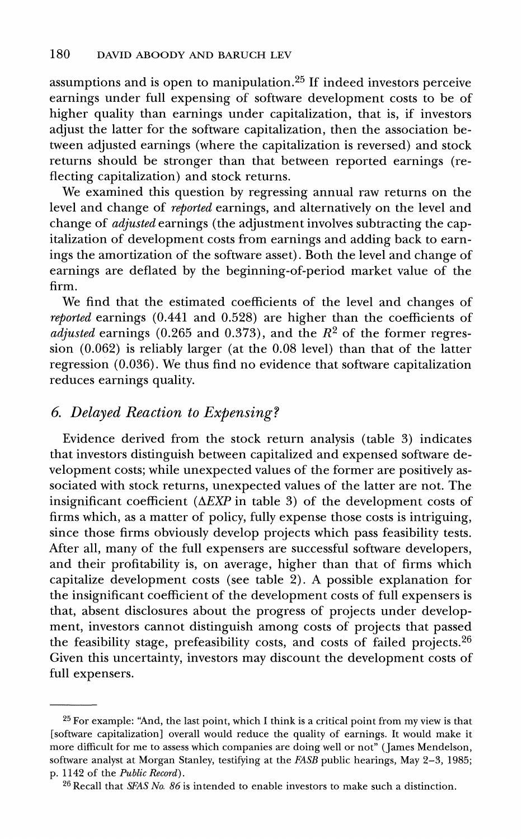**assumptions and is open to manipulation.25 If indeed investors perceive earnings under full expensing of software development costs to be of higher quality than earnings under capitalization, that is, if investors adjust the latter for the software capitalization, then the association between adjusted earnings (where the capitalization is reversed) and stock returns should be stronger than that between reported earnings (reflecting capitalization) and stock returns.** 

**We examined this question by regressing annual raw returns on the level and change of reported earnings, and alternatively on the level and change of adjusted earnings (the adjustment involves subtracting the capitalization of development costs from earnings and adding back to earnings the amortization of the software asset). Both the level and change of earnings are deflated by the beginning-of-period market value of the firm.** 

**We find that the estimated coefficients of the level and changes of reported earnings (0.441 and 0.528) are higher than the coefficients of adjusted earnings (0.265 and 0.373), and the R2 of the former regression (0.062) is reliably larger (at the 0.08 level) than that of the latter regression (0.036). We thus find no evidence that software capitalization reduces earnings quality.** 

### **6 Delayed Reaction to Expensing?**

**Evidence derived from the stock return analysis (table 3) indicates that investors distinguish between capitalized and expensed software development costs; while unexpected values of the former are positively associated with stock returns, unexpected values of the latter are not. The**  insignificant coefficient ( $\triangle EXP$  in table 3) of the development costs of **firms which, as a matter of policy, fully expense those costs is intriguing, since those firms obviously develop projects which pass feasibility tests. After all, many of the full expensers are successful software developers, and their profitability is, on average, higher than that of firms which capitalize development costs (see table 2). A possible explanation for the insignificant coefficient of the development costs of full expensers is that, absent disclosures about the progress of projects under development, investors cannot distinguish among costs of projects that passed the feasibility stage, prefeasibility costs, and costs of failed projects.26 Given this uncertainty, investors may discount the development costs of full expensers.** 

**<sup>25</sup> For example: "And, the last point, which I think is a critical point from my view is that [software capitalization] overall would reduce the quality of earnings. It would make it more difficult for me to assess which companies are doing well or not" (James Mendelson, software analyst at Morgan Stanley, testifying at the FASB public hearings, May 2-3, 1985; p. 1142 of the Public Record).** 

**<sup>26</sup> Recall that SFAS No. 86 is intended to enable investors to make such a distinction.**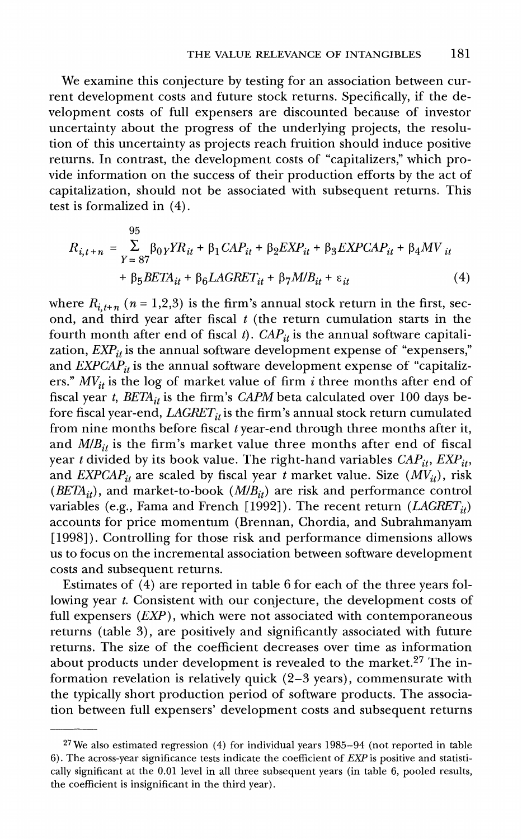**We examine this conjecture by testing for an association between current development costs and future stock returns. Specifically, if the development costs of full expensers are discounted because of investor uncertainty about the progress of the underlying projects, the resolution of this uncertainty as projects reach fruition should induce positive returns. In contrast, the development costs of "capitalizers," which provide information on the success of their production efforts by the act of capitalization, should not be associated with subsequent returns. This test is formalized in (4).** 

$$
R_{i,t+n} = \sum_{Y=87}^{95} \beta_{0Y} Y R_{it} + \beta_1 C A P_{it} + \beta_2 E X P_{it} + \beta_3 E X P C A P_{it} + \beta_4 M V_{it}
$$
  
+  $\beta_5 B E T A_{it} + \beta_6 L A G R E T_{it} + \beta_7 M B_{it} + \varepsilon_{it}$  (4)

where  $R_{i, t+n}$  ( $n = 1, 2, 3$ ) is the firm's annual stock return in the first, sec**ond, and third year after fiscal t (the return cumulation starts in the**  fourth month after end of fiscal t).  $CAP_{it}$  is the annual software capitalization,  $EXP_{it}$  is the annual software development expense of "expensers," and  $\vec{EXPCAP}_{it}$  is the annual software development expense of "capitalizers."  $MV_{it}$  is the log of market value of firm i three months after end of fiscal year t,  $BETA_{it}$  is the firm's *CAPM* beta calculated over 100 days before fiscal year-end,  $LAGRET_{it}$  is the firm's annual stock return cumulated **from nine months before fiscal t year-end through three months after it,**  and  $M/B_{it}$  is the firm's market value three months after end of fiscal year t divided by its book value. The right-hand variables  $CAP_{it}$ ,  $EXP_{it}$ , and  $EXPCAP_{it}$  are scaled by fiscal year t market value. Size  $(MV_{it})$ , risk ( $BETA_{it}$ ), and market-to-book ( $MIB_{it}$ ) are risk and performance control variables (e.g., Fama and French [1992]). The recent return  $(LAGRET_{it})$ **accounts for price momentum (Brennan, Chordia, and Subrahmanyam [1998]). Controlling for those risk and performance dimensions allows us to focus on the incremental association between software development costs and subsequent returns.** 

**Estimates of (4) are reported in table 6 for each of the three years following year t. Consistent with our conjecture, the development costs of full expensers (EXP), which were not associated with contemporaneous returns (table 3), are positively and significantly associated with future returns. The size of the coefficient decreases over time as information about products under development is revealed to the market.27 The information revelation is relatively quick (2-3 years), commensurate with the typically short production period of software products. The association between full expensers' development costs and subsequent returns** 

**<sup>27</sup>We also estimated regression (4) for individual years 1985-94 (not reported in table 6). The across-year significance tests indicate the coefficient of EXP is positive and statistically significant at the 0.01 level in all three subsequent years (in table 6, pooled results, the coefficient is insignificant in the third year).**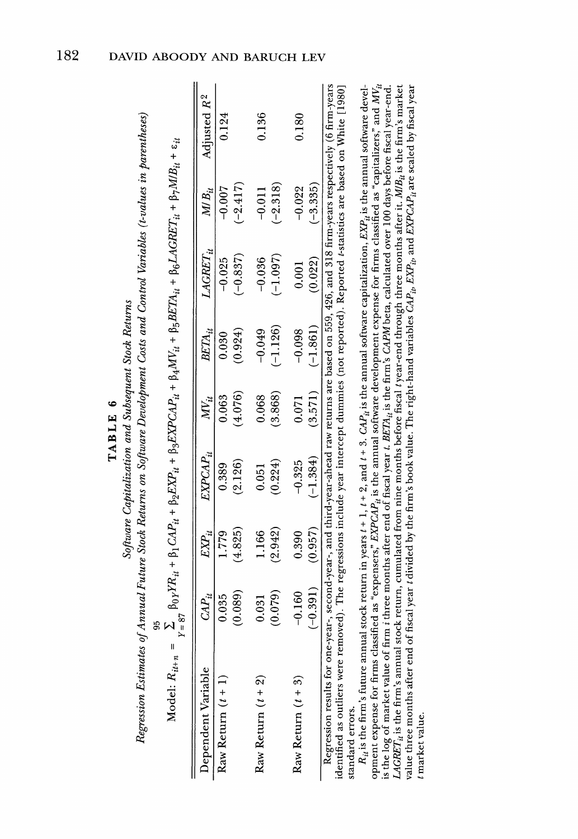|                                                                                                                                                                                                                                                                                                              |                |               |                                                      | TABLE 6  |            |               |            |                         |
|--------------------------------------------------------------------------------------------------------------------------------------------------------------------------------------------------------------------------------------------------------------------------------------------------------------|----------------|---------------|------------------------------------------------------|----------|------------|---------------|------------|-------------------------|
| Regression Estimates of Annual Future Stock Returns on Software Development Costs and Control Variables (t-values in parentheses)                                                                                                                                                                            |                |               | Software Capitalization and Subsequent Stock Returns |          |            |               |            |                         |
| $\textbf{Model:} \ R_{it+n} = \sum_{Y\,=\, {\cal S}_I} \ \beta_{0Y} Y R_{it} + \beta_1 \, G A P_{it} + \beta_2 E X P_{it} + \beta_3 E X P C A P_{it} + \beta_4 M V_{it} + \beta_5 B E T A_{it} + \beta_6 L A G R E T_{it} + \beta_7 M I B_{it} + \epsilon_{it}$                                              |                |               |                                                      |          |            |               |            |                         |
| Dependent Variable                                                                                                                                                                                                                                                                                           | $\emph{CAL}_i$ | $\emph{ER}_i$ | EXPCAP,,                                             | $M_{ii}$ | BETA,,     | $LAGRET_{it}$ | $MB_{ii}$  | Adjusted R <sup>2</sup> |
| Raw Return $(t + 1)$                                                                                                                                                                                                                                                                                         | 0.035          | 0/17          | 0.389                                                | 0.63     | 0.030      | $-0.025$      | $-0.007$   | 0.124                   |
|                                                                                                                                                                                                                                                                                                              | (0.089)        | 4.825)        | (2.126)                                              | (4.076)  | 0.924)     | $(-0.837)$    | $(-2.417)$ |                         |
| Raw Return $(t + 2)$                                                                                                                                                                                                                                                                                         | 0.031          | <b>166</b>    | 0.051                                                | 0.068    | $-0.049$   | $-0.036$      | $-0.011$   | 0.136                   |
|                                                                                                                                                                                                                                                                                                              | (0.079)        | (2.942)       | 0.224)                                               | (3.868)  | $-1.126$   | (1.097)       | $(-2.318)$ |                         |
| Raw Return $(t + 3)$                                                                                                                                                                                                                                                                                         | $-0.160$       | 0.390         | $-0.325$                                             | 0.071    | $-0.098$   | 0.001         | $-0.022$   | 0.180                   |
|                                                                                                                                                                                                                                                                                                              | $(-0.391)$     | (0.957)       | $(-1.384)$                                           | (3.571)  | $(-1.861)$ | (0.022)       | $(-3.335)$ |                         |
| Regression results for one-year-, second-year-, and third-year-ahead raw returns are based on 559, 426, and 318 firm-years respectively (6 firm-years<br>identified as outliers were removed). The regressions include year intercept dummies (not reported). Reported estatistics are based on White [1980] |                |               |                                                      |          |            |               |            |                         |

**firm's CAPM year-end right-hand** 

**return years k** Retur **CAPit is the annual software**   $\ddot{\phantom{a}}$ **software**   $\mathbf{z}$ **software expense firms classified calculated** 

**Regression**   $\frac{1}{2}$  $\tilde{=}$ **95 Annual**   $\mathbf{F}_{\mathbf{E}}$ **Stock on**   $\frac{1}{2}$ **f2E** 3G **Costs**   $\Xi$  $T \, \vert \, \vec{B} \, \vert \,$ **Control**   $\sim$ **tages**  $\overline{a}$ standard errors.

**Estimates Software Returns Capitalization Software and TABLE 6 Subsequent Development Stock Returns Variables (t-values parentheses)**  t market value.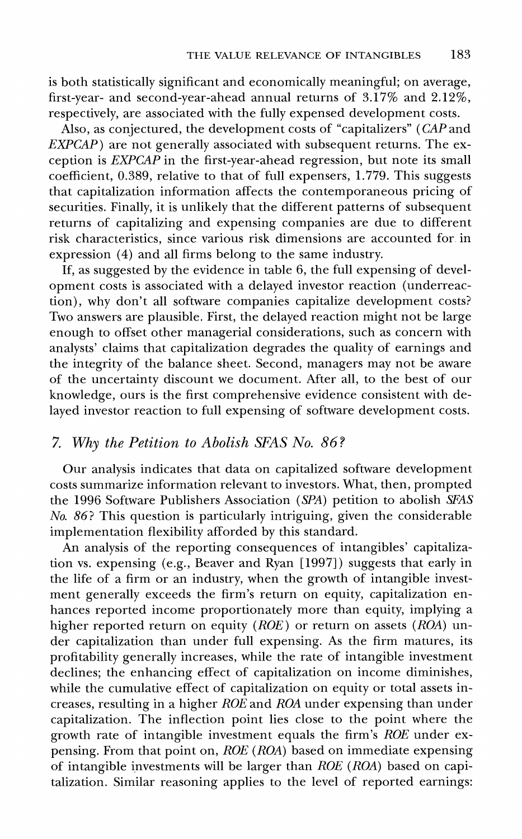**is both statistically significant and economically meaningful; on average, first-year- and second-year-ahead annual returns of 3.17% and 2.12%, respectively, are associated with the fully expensed development costs.** 

**Also, as conjectured, the development costs of "capitalizers" (CAP and EXPCAP**) are not generally associated with subsequent returns. The ex**ception is EXPCAP in the first-year-ahead regression, but note its small coefficient, 0.389, relative to that of full expensers, 1.779. This suggests that capitalization information affects the contemporaneous pricing of securities. Finally, it is unlikely that the different patterns of subsequent returns of capitalizing and expensing companies are due to different risk characteristics, since various risk dimensions are accounted for in expression (4) and all firms belong to the same industry.** 

**If, as suggested by the evidence in table 6, the full expensing of development costs is associated with a delayed investor reaction (underreaction), why don't all software companies capitalize development costs? Two answers are plausible. First, the delayed reaction might not be large enough to offset other managerial considerations, such as concern with analysts' claims that capitalization degrades the quality of earnings and the integrity of the balance sheet. Second, managers may not be aware of the uncertainty discount we document. After all, to the best of our knowledge, ours is the first comprehensive evidence consistent with delayed investor reaction to full expensing of software development costs.** 

### **7. Why the Petition to Abolish SFAS No. 86?**

**Our analysis indicates that data on capitalized software development costs summarize information relevant to investors. What, then, prompted the 1996 Software Publishers Association (SPA) petition to abolish SFAS No. 86? This question is particularly intriguing, given the considerable implementation flexibility afforded by this standard.** 

**An analysis of the reporting consequences of intangibles' capitalization vs. expensing (e.g., Beaver and Ryan [1997]) suggests that early in the life of a firm or an industry, when the growth of intangible investment generally exceeds the firm's return on equity, capitalization enhances reported income proportionately more than equity, implying a**  higher reported return on equity (*ROE*) or return on assets (*ROA*) un**der capitalization than under full expensing. As the firm matures, its profitability generally increases, while the rate of intangible investment declines; the enhancing effect of capitalization on income diminishes, while the cumulative effect of capitalization on equity or total assets increases, resulting in a higher ROE and ROA under expensing than under capitalization. The inflection point lies close to the point where the**  growth rate of intangible investment equals the firm's *ROE* under ex**pensing. From that point on, ROE (ROA) based on immediate expensing of intangible investments will be larger than ROE (ROA) based on capitalization. Similar reasoning applies to the level of reported earnings:**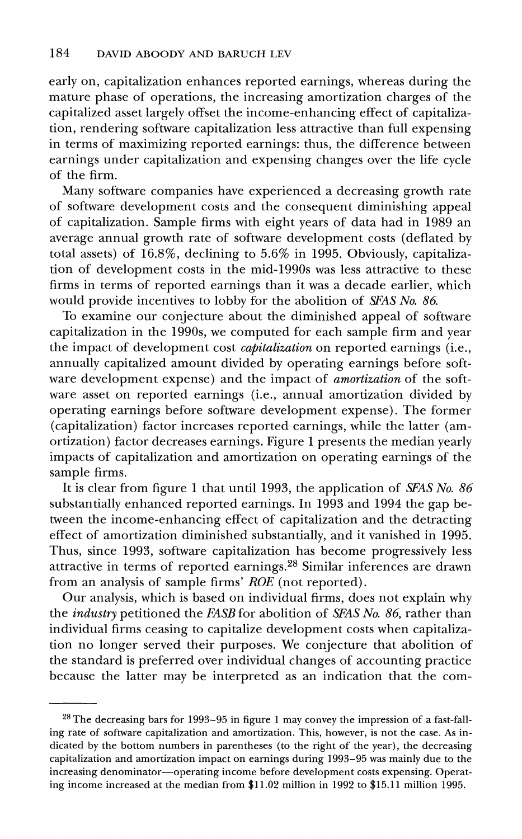**early on, capitalization enhances reported earnings, whereas during the mature phase of operations, the increasing amortization charges of the capitalized asset largely offset the income-enhancing effect of capitalization, rendering software capitalization less attractive than full expensing in terms of maximizing reported earnings: thus, the difference between earnings under capitalization and expensing changes over the life cycle of the firm.** 

**Many software companies have experienced a decreasing growth rate of software development costs and the consequent diminishing appeal of capitalization. Sample firms with eight years of data had in 1989 an average annual growth rate of software development costs (deflated by total assets) of 16.8%, declining to 5.6% in 1995. Obviously, capitalization of development costs in the mid-1990s was less attractive to these firms in terms of reported earnings than it was a decade earlier, which would provide incentives to lobby for the abolition of SFAS No. 86.** 

**To examine our conjecture about the diminished appeal of software capitalization in the 1990s, we computed for each sample firm and year the impact of development cost capitalization on reported earnings (i.e., annually capitalized amount divided by operating earnings before soft**ware development expense) and the impact of *amortization* of the soft**ware asset on reported earnings (i.e., annual amortization divided by operating earnings before software development expense). The former (capitalization) factor increases reported earnings, while the latter (amortization) factor decreases earnings. Figure 1 presents the median yearly impacts of capitalization and amortization on operating earnings of the sample firms.** 

**It is clear from figure 1 that until 1993, the application of SFAS No. 86 substantially enhanced reported earnings. In 1993 and 1994 the gap between the income-enhancing effect of capitalization and the detracting effect of amortization diminished substantially, and it vanished in 1995. Thus, since 1993, software capitalization has become progressively less attractive in terms of reported earnings.28 Similar inferences are drawn from an analysis of sample firms' ROE (not reported).** 

**Our analysis, which is based on individual firms, does not explain why the industry petitioned the FASB for abolition of SFAS No. 86, rather than individual firms ceasing to capitalize development costs when capitalization no longer served their purposes. We conjecture that abolition of the standard is preferred over individual changes of accounting practice because the latter may be interpreted as an indication that the com-**

**<sup>28</sup> The decreasing bars for 1993-95 in figure 1 may convey the impression of a fast-falling rate of software capitalization and amortization. This, however, is not the case. As indicated by the bottom numbers in parentheses (to the right of the year), the decreasing capitalization and amortization impact on earnings during 1993-95 was mainly due to the increasing denominator-operating income before development costs expensing. Operating income increased at the median from \$11.02 million in 1992 to \$15.11 million 1995.**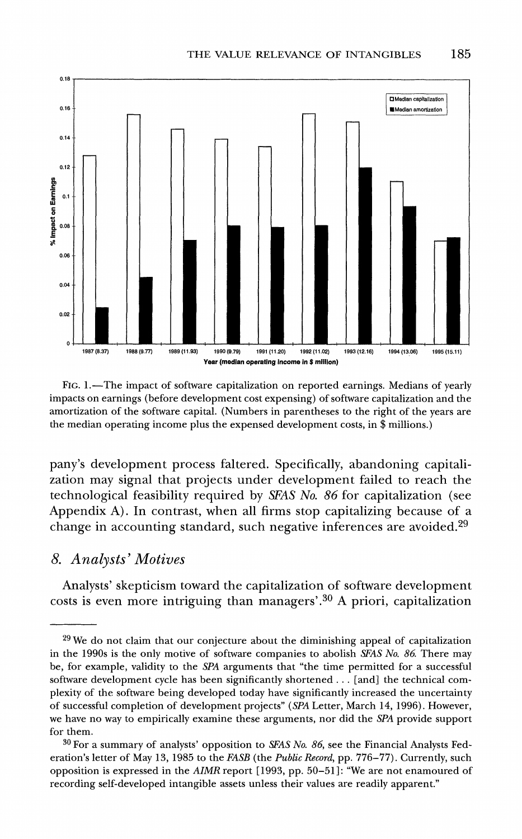

**FIG. 1. -The impact of software capitalization on reported earnings. Medians of yearly impacts on earnings (before development cost expensing) of software capitalization and the amortization of the software capital. (Numbers in parentheses to the right of the years are the median operating income plus the expensed development costs, in \$ millions.)** 

**pany's development process faltered. Specifically, abandoning capitalization may signal that projects under development failed to reach the technological feasibility required by SEAS No. 86 for capitalization (see**  Appendix A). In contrast, when all firms stop capitalizing because of a **change in accounting standard, such negative inferences are avoided.29** 

### **8. Analysts' Motives**

**Analysts' skepticism toward the capitalization of software development costs is even more intriguing than managers' \*30 A priori, capitalization** 

**<sup>29</sup>We do not claim that our conjecture about the diminishing appeal of capitalization in the 1990s is the only motive of software companies to abolish SFAS No. 86 There may be, for example, validity to the SPA arguments that "the time permitted for a successful software development cycle has been significantly shortened ... [and] the technical complexity of the software being developed today have significantly increased the uncertainty of successful completion of development projects" (SPA Letter, March 14, 1996). However, we have no way to empirically examine these arguments, nor did the SPA provide support for them.** 

**<sup>30</sup> For a summary of analysts' opposition to SFAS No. 86, see the Financial Analysts Federation's letter of May 13, 1985 to the FASB (the Public Record, pp. 776-77). Currently, such opposition is expressed in the AIMR report [1993, pp. 50-51]: "We are not enamoured of recording self-developed intangible assets unless their values are readily apparent."**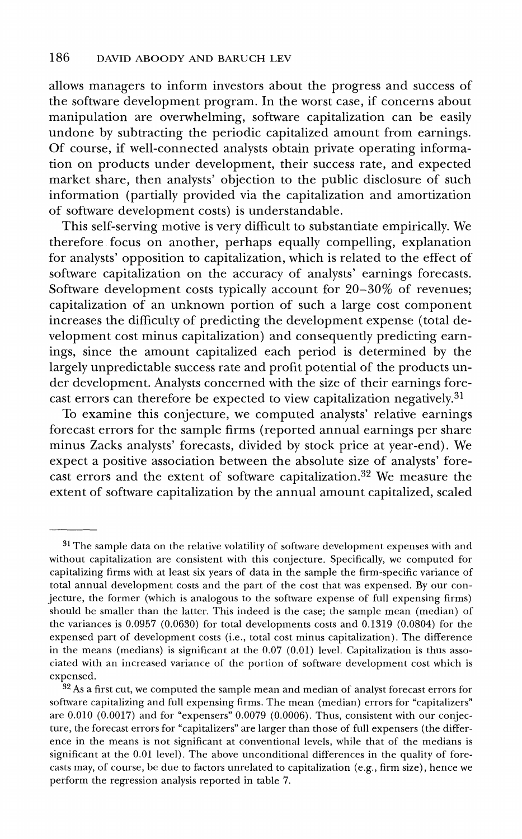**allows managers to inform investors about the progress and success of the software development program. In the worst case, if concerns about manipulation are overwhelming, software capitalization can be easily undone by subtracting the periodic capitalized amount from earnings. Of course, if well-connected analysts obtain private operating information on products under development, their success rate, and expected market share, then analysts' objection to the public disclosure of such information (partially provided via the capitalization and amortization of software development costs) is understandable.** 

**This self-serving motive is very difficult to substantiate empirically. We therefore focus on another, perhaps equally compelling, explanation for analysts' opposition to capitalization, which is related to the effect of software capitalization on the accuracy of analysts' earnings forecasts. Software development costs typically account for 20-30% of revenues; capitalization of an unknown portion of such a large cost component increases the difficulty of predicting the development expense (total development cost minus capitalization) and consequently predicting earnings, since the amount capitalized each period is determined by the largely unpredictable success rate and profit potential of the products under development. Analysts concerned with the size of their earnings forecast errors can therefore be expected to view capitalization negatively.31** 

**To examine this conjecture, we computed analysts' relative earnings forecast errors for the sample firms (reported annual earnings per share minus Zacks analysts' forecasts, divided by stock price at year-end). We expect a positive association between the absolute size of analysts' forecast errors and the extent of software capitalization.32 We measure the extent of software capitalization by the annual amount capitalized, scaled** 

**<sup>31</sup>The sample data on the relative volatility of software development expenses with and without capitalization are consistent with this conjecture. Specifically, we computed for capitalizing firms with at least six years of data in the sample the firm-specific variance of total annual development costs and the part of the cost that was expensed. By our conjecture, the former (which is analogous to the software expense of full expensing firms) should be smaller than the latter. This indeed is the case; the sample mean (median) of the variances is 0.0957 (0.0630) for total developments costs and 0.1319 (0.0804) for the expensed part of development costs (i.e., total cost minus capitalization). The difference in the means (medians) is significant at the 0.07 (0.01) level. Capitalization is thus associated with an increased variance of the portion of software development cost which is expensed.** 

**<sup>32</sup> As a first cut, we computed the sample mean and median of analyst forecast errors for software capitalizing and full expensing firms. The mean (median) errors for "capitalizers" are 0.010 (0.0017) and for "expensers" 0.0079 (0.0006). Thus, consistent with our conjecture, the forecast errors for "capitalizers" are larger than those of full expensers (the difference in the means is not significant at conventional levels, while that of the medians is significant at the 0.01 level). The above unconditional differences in the quality of forecasts may, of course, be due to factors unrelated to capitalization (e.g., firm size), hence we perform the regression analysis reported in table 7.**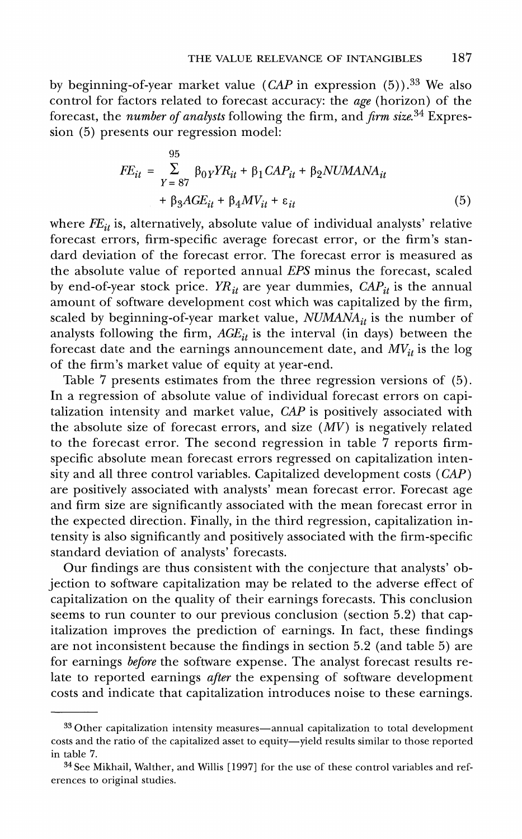**by beginning-of-year market value (CAP in expression (5)).33 We also control for factors related to forecast accuracy: the age (horizon) of the forecast, the number of analysts following the firm, and firm size.34 Expression (5) presents our regression model:** 

$$
FE_{it} = \sum_{Y=87}^{95} \beta_{0Y} Y R_{it} + \beta_1 CA P_{it} + \beta_2 N U M A N A_{it}
$$
  
+ 
$$
\beta_3 A G E_{it} + \beta_4 M V_{it} + \varepsilon_{it}
$$
 (5)

where  $FE_{it}$  is, alternatively, absolute value of individual analysts' relative **forecast errors, firm-specific average forecast error, or the firm's standard deviation of the forecast error. The forecast error is measured as the absolute value of reported annual EPS minus the forecast, scaled**  by end-of-year stock price.  $YR_{it}$  are year dummies,  $CAP_{it}$  is the annual **amount of software development cost which was capitalized by the firm,**  scaled by beginning-of-year market value, *NUMANA<sub>it</sub>* is the number of analysts following the firm,  $AGE_{it}$  is the interval (in days) between the forecast date and the earnings announcement date, and  $MV_{it}$  is the log **of the firm's market value of equity at year-end.** 

**Table 7 presents estimates from the three regression versions of (5). In a regression of absolute value of individual forecast errors on capitalization intensity and market value, CAP is positively associated with**  the absolute size of forecast errors, and size  $(MV)$  is negatively related **to the forecast error. The second regression in table 7 reports firmspecific absolute mean forecast errors regressed on capitalization intensity and all three control variables. Capitalized development costs (CAP) are positively associated with analysts' mean forecast error. Forecast age and firm size are significantly associated with the mean forecast error in the expected direction. Finally, in the third regression, capitalization intensity is also significantly and positively associated with the firm-specific standard deviation of analysts' forecasts.** 

**Our findings are thus consistent with the conjecture that analysts' objection to software capitalization may be related to the adverse effect of capitalization on the quality of their earnings forecasts. This conclusion seems to run counter to our previous conclusion (section 5.2) that capitalization improves the prediction of earnings. In fact, these findings are not inconsistent because the findings in section 5.2 (and table 5) are for earnings before the software expense. The analyst forecast results relate to reported earnings after the expensing of software development costs and indicate that capitalization introduces noise to these earnings.** 

**<sup>33</sup> Other capitalization intensity measures-annual capitalization to total development**  costs and the ratio of the capitalized asset to equity-yield results similar to those reported **in table 7.** 

**<sup>34</sup> See Mikhail, Walther, and Willis [1997] for the use of these control variables and references to original studies.**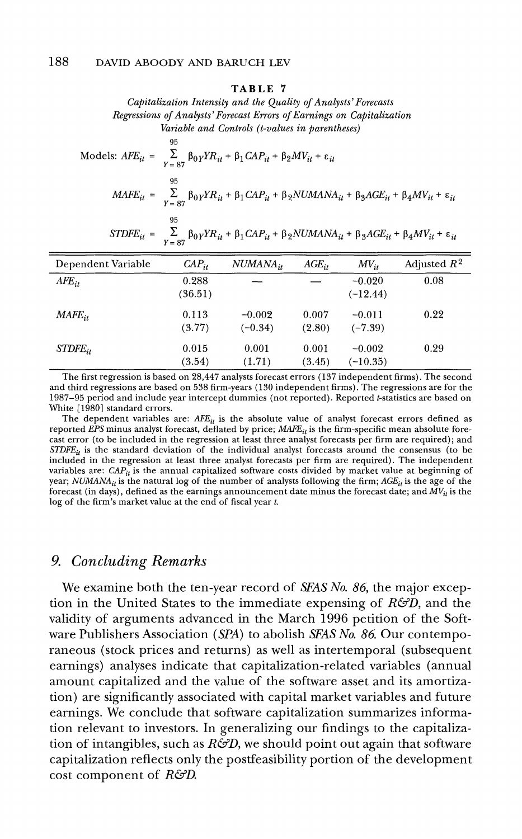#### **TABLE 7**

**Capitalization Intensity and the Quality of Analysts'Forecasts Regressions of Analysts'Forecast Errors of Earnings on Capitalization Variable and Controls (t-values in parentheses)** 

**95**   $\text{Models: } AFE_{it} = \sum_{V = 87} \beta_0 YFR_{it} + \beta_1 CAP_{it} + \beta_2 MV_{it} + \epsilon$  $\textit{MAFE}_{it} = \sum_{V = 0.7}^{95} \beta_{0} Y R_{it} + \beta_{1} \textit{CAP}_{it} + \beta_{2} \textit{NUMANA}_{it} + \beta_{3} \textit{AGE}_{it} + \beta_{4} \textit{MV}_{it} + \varepsilon_{it}$ **95** 

| $\begin{aligned} STDF{E}_{it} \;=\; \; \sum_{Y \;=\; 87} \; \beta_{0Y} Y R_{it} \;+\; \beta_{1} \,CAP_{it} \;+\; \beta_{2} NUMANA_{it} \;+\; \beta_{3} AGE_{it} \;+\; \beta_{4} MV_{it} \;+\; \varepsilon_{it} \end{aligned}$ |
|-------------------------------------------------------------------------------------------------------------------------------------------------------------------------------------------------------------------------------|
|                                                                                                                                                                                                                               |

| Dependent Variable | $CAP_{it}$ | $NUMANA_{it}$ | $AGE_{it}$ | $MV_{it}$  | Adjusted $R^2$ |
|--------------------|------------|---------------|------------|------------|----------------|
| $AFE_{it}$         | 0.288      |               |            | $-0.020$   | 0.08           |
|                    | (36.51)    |               |            | $(-12.44)$ |                |
| $MAFE_{it}$        | 0.113      | $-0.002$      | 0.007      | $-0.011$   | 0.22           |
|                    | (3.77)     | $(-0.34)$     | (2.80)     | $(-7.39)$  |                |
| $STDFE_{ir}$       | 0.015      | 0.001         | 0.001      | $-0.002$   | 0.29           |
|                    | (3.54)     | (1.71)        | (3.45)     | $(-10.35)$ |                |

**The first regression is based on 28,447 analysts forecast errors (137 independent firms). The second and third regressions are based on 538 firm-years (130 independent firms). The regressions are for the 1987-95 period and include year intercept dummies (not reported). Reported t-statistics are based on White [1980] standard errors.** 

The dependent variables are:  $\overline{AFE}_{it}$  is the absolute value of analyst forecast errors defined as reported EPS minus analyst forecast, deflated by price;  $MAFE_{it}$  is the firm-specific mean absolute fore**cast error (to be included in the regression at least three analyst forecasts per firm are required); and STDFEit is the standard deviation of the individual analyst forecasts around the consensus (to be included in the regression at least three analyst forecasts per firm are required). The independent**  variables are:  $CAP_{it}$  is the annual capitalized software costs divided by market value at beginning of year;  $NUMANA_{ii}$  is the natural log of the number of analysts following the firm;  $AGE_{ii}$  is the age of the forecast (in days), defined as the earnings announcement date minus the forecast date; and  $MV_{ii}$  is the **log of the firm's market value at the end of fiscal year t.** 

### **9. Concluding Remarks**

**We examine both the ten-year record of SFAS No. 86, the major exception in the United States to the immediate expensing of R&D, and the validity of arguments advanced in the March 1996 petition of the Software Publishers Association (SPA) to abolish SFAS No. 86. Our contemporaneous (stock prices and returns) as well as intertemporal (subsequent earnings) analyses indicate that capitalization-related variables (annual amount capitalized and the value of the software asset and its amortization) are significantly associated with capital market variables and future earnings. We conclude that software capitalization summarizes information relevant to investors. In generalizing our findings to the capitalization of intangibles, such as R&D, we should point out again that software capitalization reflects only the postfeasibility portion of the development cost component of R&D.**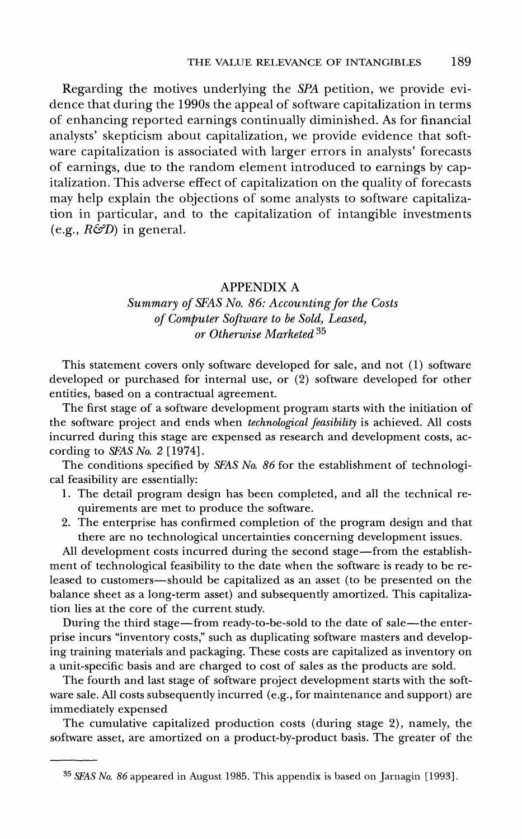**Regarding the motives underlying the SPA petition, we provide evidence that during the 1990s the appeal of software capitalization in terms of enhancing reported earnings continually diminished. As for financial analysts' skepticism about capitalization, we provide evidence that software capitalization is associated with larger errors in analysts' forecasts of earnings, due to the random element introduced to earnings by capitalization. This adverse effect of capitalization on the quality of forecasts may help explain the objections of some analysts to software capitalization in particular, and to the capitalization of intangible investments**   $(e.g., R\ddot{\mathcal{D}})$  in general.

### **APPENDIX A**

### **Summary of SFAS No. 86: Accounting for the Costs of Computer Software to be Sold, Leased, or Otherwise Marketed 35**

**This statement covers only software developed for sale, and not (1) software developed or purchased for internal use, or (2) software developed for other entities, based on a contractual agreement.** 

**The first stage of a software development program starts with the initiation of the software project and ends when technological feasibility is achieved. All costs incurred during this stage are expensed as research and development costs, according to SFAS No. 2 [1974].** 

**The conditions specified by SFAS No. 86 for the establishment of technological feasibility are essentially:** 

- **1. The detail program design has been completed, and all the technical requirements are met to produce the software.**
- **2. The enterprise has confirmed completion of the program design and that there are no technological uncertainties concerning development issues.**

**All development costs incurred during the second stage-from the establishment of technological feasibility to the date when the software is ready to be released to customers-should be capitalized as an asset (to be presented on the balance sheet as a long-term asset) and subsequently amortized. This capitalization lies at the core of the current study.** 

During the third stage—from ready-to-be-sold to the date of sale—the enter**prise incurs "inventory costs," such as duplicating software masters and developing training materials and packaging. These costs are capitalized as inventory on a unit-specific basis and are charged to cost of sales as the products are sold.** 

**The fourth and last stage of software project development starts with the software sale. All costs subsequently incurred (e.g., for maintenance and support) are immediately expensed** 

**The cumulative capitalized production costs (during stage 2), namely, the software asset, are amortized on a product-by-product basis. The greater of the** 

**<sup>35</sup> SAS No. 86 appeared in August 1985. This appendix is based on Jarnagin [1993].**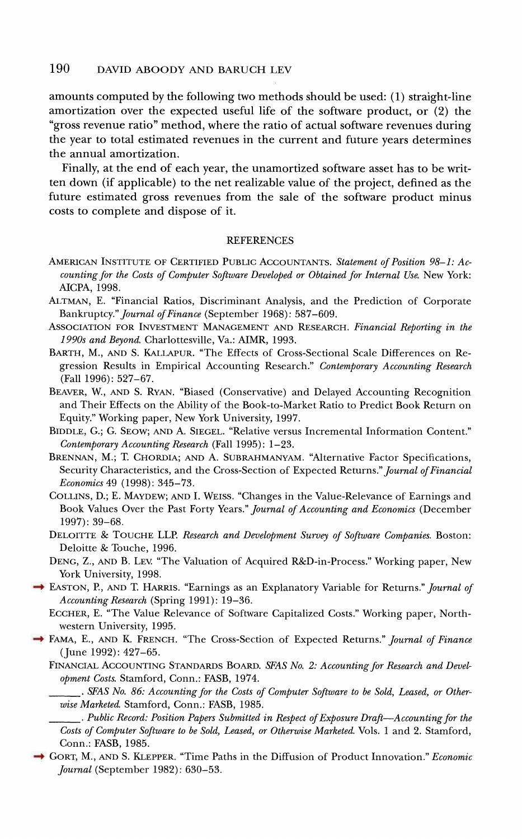### **190 DAVID ABOODY AND BARUCH LEV**

**amounts computed by the following two methods should be used: (1) straight-line amortization over the expected useful life of the software product, or (2) the "gross revenue ratio" method, where the ratio of actual software revenues during the year to total estimated revenues in the current and future years determines the annual amortization.** 

**Finally, at the end of each year, the unamortized software asset has to be written down (if applicable) to the net realizable value of the project, defined as the future estimated gross revenues from the sale of the software product minus costs to complete and dispose of it.** 

#### **REFERENCES**

- **AMERICAN INSTITUTE OF CERTIFIED PUBLIC ACCOUNTANTS. Statement of Position 98-1: Accounting for the Costs of Computer Software Developed or Obtained for Internal Use. New York: AICPA, 1998.**
- **ALTMAN, E. "Financial Ratios, Discriminant Analysis, and the Prediction of Corporate Bankruptcy." Journal of Finance (September 1968): 587-609.**
- **ASSOCIATION FOR INVESTMENT MANAGEMENT AND RESEARCH. Financial Reporting in the 1990s and Beyond. Charlottesville, Va.: AIMR, 1993.**
- **BARTH, M., AND S. KALLAPUR. "The Effects of Cross-Sectional Scale Differences on Regression Results in Empirical Accounting Research." Contemporary Accounting Research (Fall 1996): 527-67.**
- **BEAVER, W., AND S. RYAN. "Biased (Conservative) and Delayed Accounting Recognition and Their Effects on the Ability of the Book-to-Market Ratio to Predict Book Return on Equity." Working paper, New York University, 1997.**
- **BIDDLE, G.; G. SEOW; AND A. SIEGEL. "Relative versus Incremental Information Content." Contemporary Accounting Research (Fall 1995): 1-23.**
- **BRENNAN, M.; T. CHORDIA; AND A. SUBRAHMANYAM. "Alternative Factor Specifications, Security Characteristics, and the Cross-Section of Expected Returns." Journal of Financial Economics 49 (1998): 345-73.**
- **COLLINS, D.; E. MAYDEW; AND I. WEISS. "Changes in the Value-Relevance of Earnings and Book Values Over the Past Forty Years." Journal of Accounting and Economics (December 1997): 39-68.**
- **DELOITTE & TOUCHE LLP. Research and Development Survey of Software Companies. Boston: Deloitte & Touche, 1996.**
- **DENG, Z., AND B. LEV. "The Valuation of Acquired R&D-in-Process." Working paper, New York University, 1998.**
- → EASTON, P., AND T. HARRIS. "Earnings as an Explanatory Variable for Returns." *Journal of* **Accounting Research (Spring 1991): 19-36.** 
	- **ECCHER, E. "The Value Relevance of Software Capitalized Costs." Working paper, Northwestern University, 1995.**
- **FAMA, E., AND K. FRENCH. "The Cross-Section of Expected Returns." Journal of Finance (June 1992): 427-65.**

FINANCIAL ACCOUNTING STANDARDS BOARD. SFAS No. 2: Accounting for Research and Devel**opment Costs. Stamford, Conn.: FASB, 1974.** 

**. SFAS No. 86: Accounting for the Costs of Computer Software to be Sold, Leased, or Otherwise Marketed. Stamford, Conn.: FASB, 1985.** 

**GORT, M., AND S. KLEPPER. "Time Paths in the Diffusion of Product Innovation." Economic Journal (September 1982): 630-53.** 

**<sup>.</sup> Public Record: Position Papers Submitted in Respect of Exposure Draft -Accounting for the Costs of Computer Software to be Sold, Leased, or Otherwise Marketed. Vols. 1 and 2. Stamford, Conn.: FASB, 1985.**